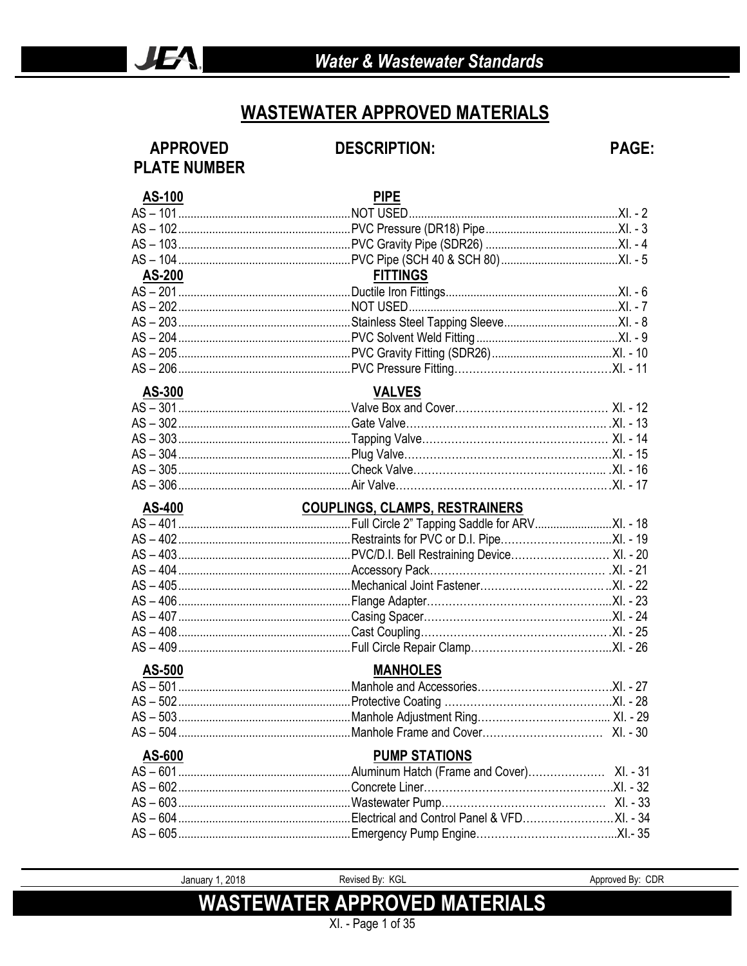### **WASTEWATER APPROVED MATERIALS**

### **APPROVED PLATE NUMBER**

### **DESCRIPTION:**

**PAGE:** 

| <b>AS-100</b> | <b>PIPE</b>                                                              |  |
|---------------|--------------------------------------------------------------------------|--|
|               |                                                                          |  |
|               |                                                                          |  |
|               |                                                                          |  |
|               |                                                                          |  |
| <b>AS-200</b> | <b>FITTINGS</b>                                                          |  |
|               |                                                                          |  |
|               | AS – 202………………………………………………NOT USED…………………………………………………………XI. - 7          |  |
|               |                                                                          |  |
|               |                                                                          |  |
|               |                                                                          |  |
|               |                                                                          |  |
| AS-300        | <b>VALVES</b>                                                            |  |
|               | AS – 301……………………………………………………Valve Box and Cover………………………………………… XI. - 12 |  |
|               |                                                                          |  |
|               |                                                                          |  |
|               |                                                                          |  |
|               |                                                                          |  |
|               |                                                                          |  |
|               |                                                                          |  |
|               |                                                                          |  |
|               |                                                                          |  |
|               |                                                                          |  |
|               |                                                                          |  |
|               |                                                                          |  |
|               |                                                                          |  |
|               |                                                                          |  |
|               |                                                                          |  |
|               |                                                                          |  |
|               |                                                                          |  |
| <b>AS-500</b> | <b>MANHOLES</b>                                                          |  |
|               |                                                                          |  |
|               |                                                                          |  |
|               |                                                                          |  |
|               |                                                                          |  |
| AS-600        | <b>PUMP STATIONS</b>                                                     |  |
|               |                                                                          |  |
|               |                                                                          |  |
|               |                                                                          |  |
|               |                                                                          |  |

January 1, 2018 **WASTEWATER APPROVED MATERIALS** 

Revised By: KGL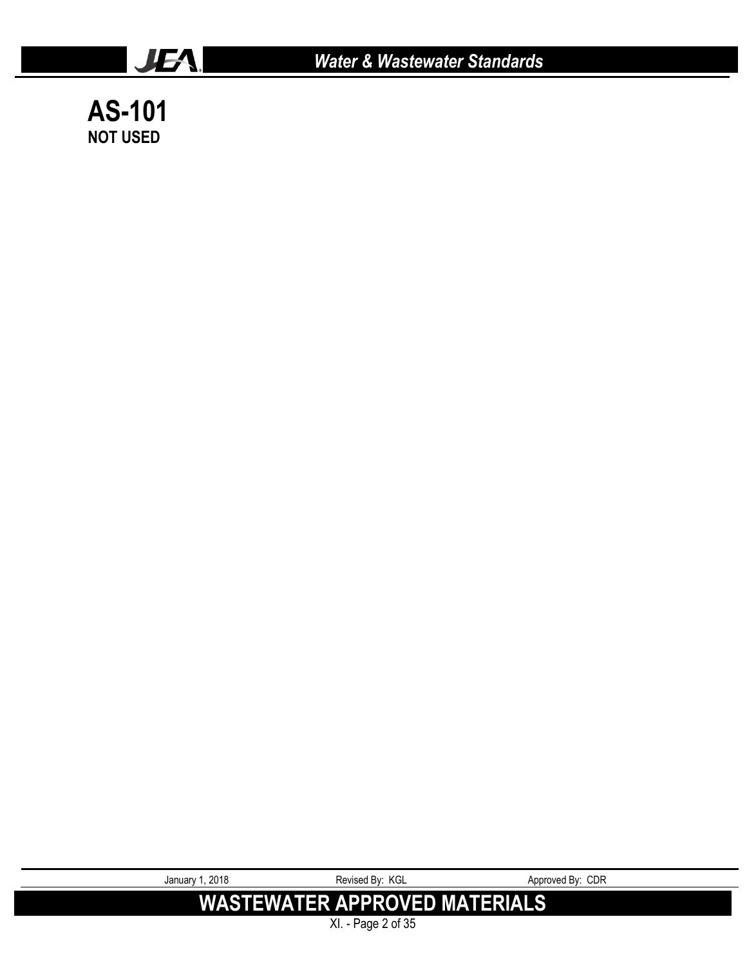

*Water & Wastewater Standards*

**AS-101 NOT USED**

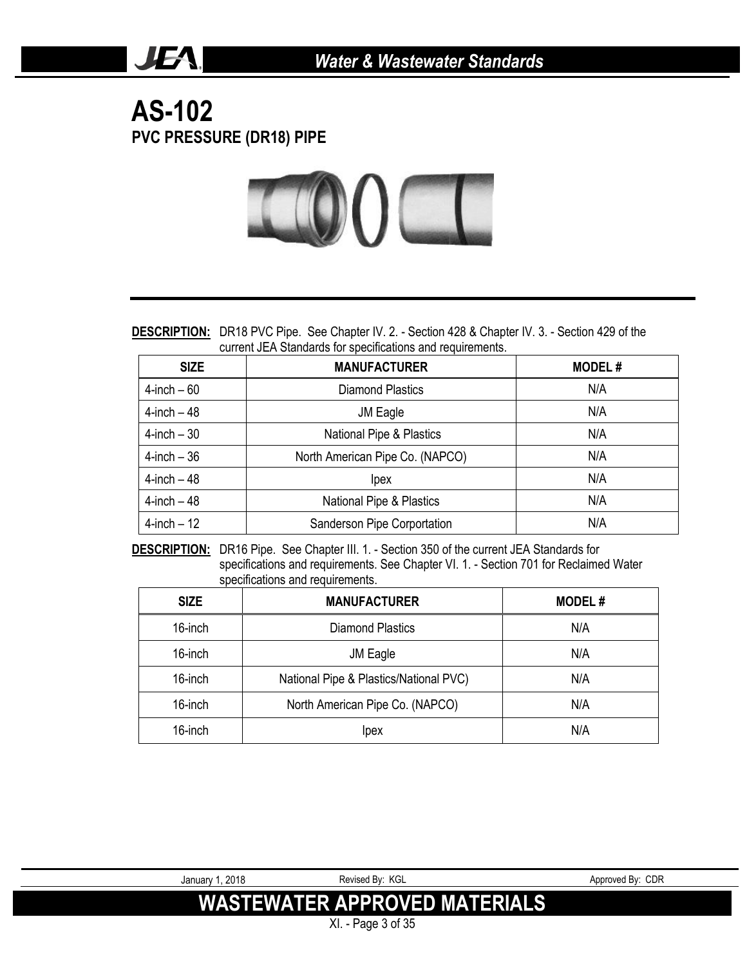### **AS-102 PVC PRESSURE (DR18) PIPE**

JEA.



**DESCRIPTION:** DR18 PVC Pipe. See Chapter IV. 2. - Section 428 & Chapter IV. 3. - Section 429 of the current JEA Standards for specifications and requirements.

| <b>SIZE</b>     | <b>MANUFACTURER</b>             | <b>MODEL#</b> |
|-----------------|---------------------------------|---------------|
| $4$ -inch – 60  | Diamond Plastics                | N/A           |
| $4$ -inch $-48$ | JM Eagle                        | N/A           |
| $4$ -inch $-30$ | National Pipe & Plastics        | N/A           |
| $4$ -inch $-36$ | North American Pipe Co. (NAPCO) | N/A           |
| $4$ -inch $-48$ | lpex                            | N/A           |
| $4$ -inch $-48$ | National Pipe & Plastics        | N/A           |
| $4$ -inch $-12$ | Sanderson Pipe Corportation     | N/A           |

**DESCRIPTION:** DR16 Pipe. See Chapter III. 1. - Section 350 of the current JEA Standards for specifications and requirements. See Chapter VI. 1. - Section 701 for Reclaimed Water specifications and requirements.

| <b>SIZE</b> | <b>MANUFACTURER</b>                    | <b>MODEL#</b> |
|-------------|----------------------------------------|---------------|
| 16-inch     | <b>Diamond Plastics</b>                | N/A           |
| 16-inch     | JM Eagle                               | N/A           |
| 16-inch     | National Pipe & Plastics/National PVC) | N/A           |
| 16-inch     | North American Pipe Co. (NAPCO)        | N/A           |
| 16-inch     | lpex                                   | N/A           |

XI. - Page 3 of 35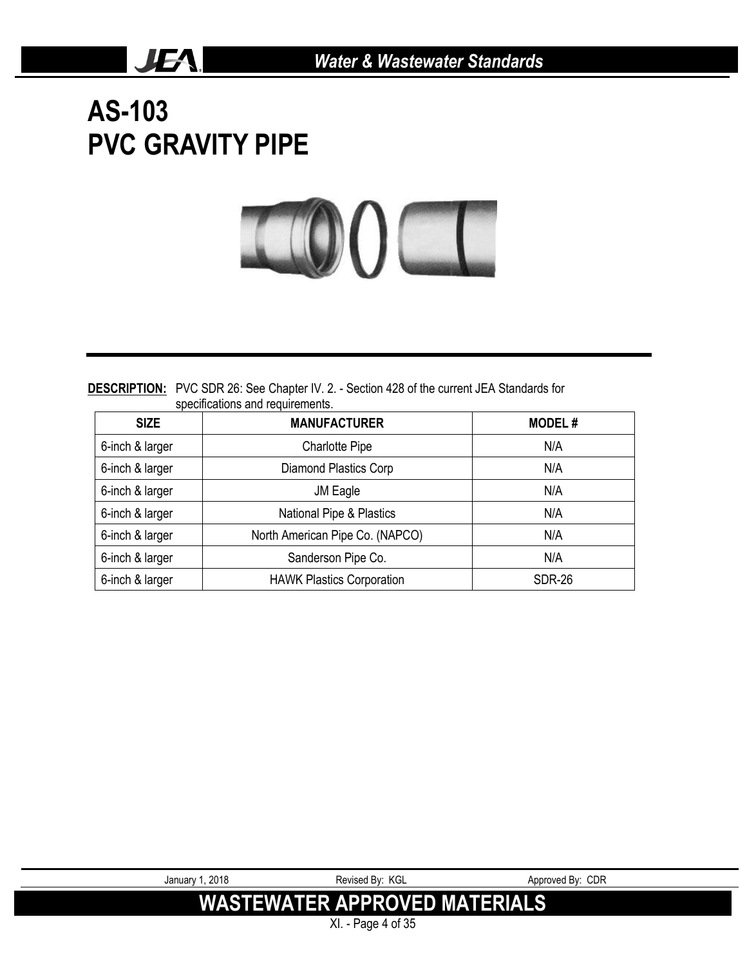# **AS-103 PVC GRAVITY PIPE**

JEA.



**DESCRIPTION:** PVC SDR 26: See Chapter IV. 2. - Section 428 of the current JEA Standards for specifications and requirements.

| <b>SIZE</b>     | <b>MANUFACTURER</b>              | <b>MODEL#</b> |
|-----------------|----------------------------------|---------------|
| 6-inch & larger | <b>Charlotte Pipe</b>            | N/A           |
| 6-inch & larger | <b>Diamond Plastics Corp</b>     | N/A           |
| 6-inch & larger | JM Eagle                         | N/A           |
| 6-inch & larger | National Pipe & Plastics         | N/A           |
| 6-inch & larger | North American Pipe Co. (NAPCO)  | N/A           |
| 6-inch & larger | Sanderson Pipe Co.               | N/A           |
| 6-inch & larger | <b>HAWK Plastics Corporation</b> | <b>SDR-26</b> |



XI. - Page 4 of 35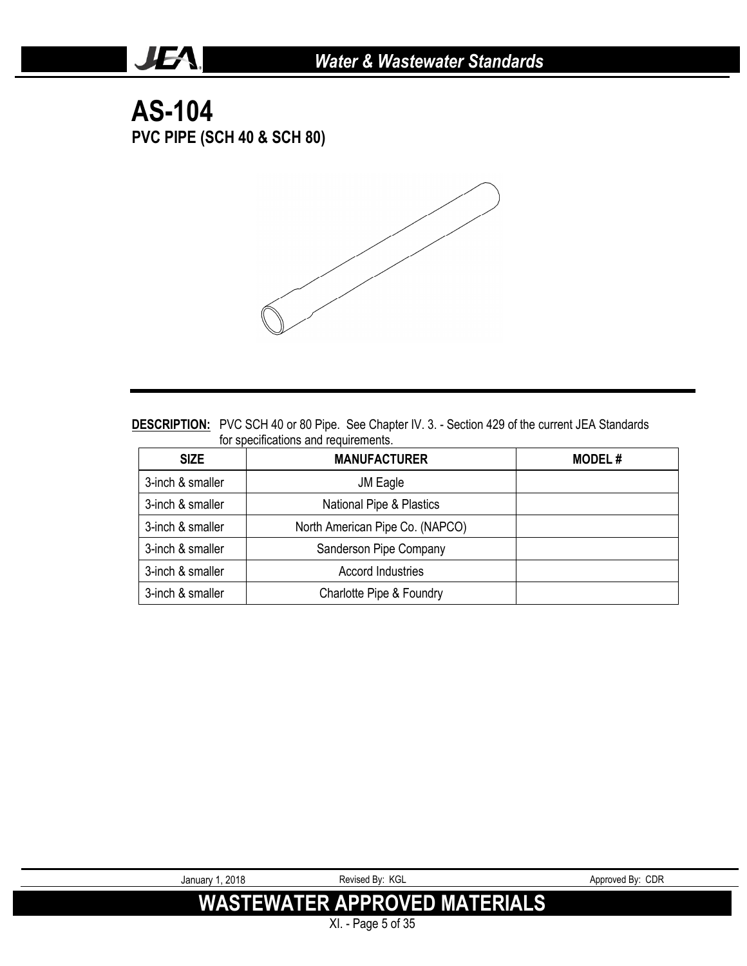**AS-104 PVC PIPE (SCH 40 & SCH 80)**

JEA.



| <b>DESCRIPTION:</b> PVC SCH 40 or 80 Pipe. See Chapter IV. 3. - Section 429 of the current JEA Standards |  |  |
|----------------------------------------------------------------------------------------------------------|--|--|
| for specifications and requirements.                                                                     |  |  |

| <b>SIZE</b>      | <b>MANUFACTURER</b>             | <b>MODEL#</b> |
|------------------|---------------------------------|---------------|
| 3-inch & smaller | JM Eagle                        |               |
| 3-inch & smaller | National Pipe & Plastics        |               |
| 3-inch & smaller | North American Pipe Co. (NAPCO) |               |
| 3-inch & smaller | Sanderson Pipe Company          |               |
| 3-inch & smaller | <b>Accord Industries</b>        |               |
| 3-inch & smaller | Charlotte Pipe & Foundry        |               |

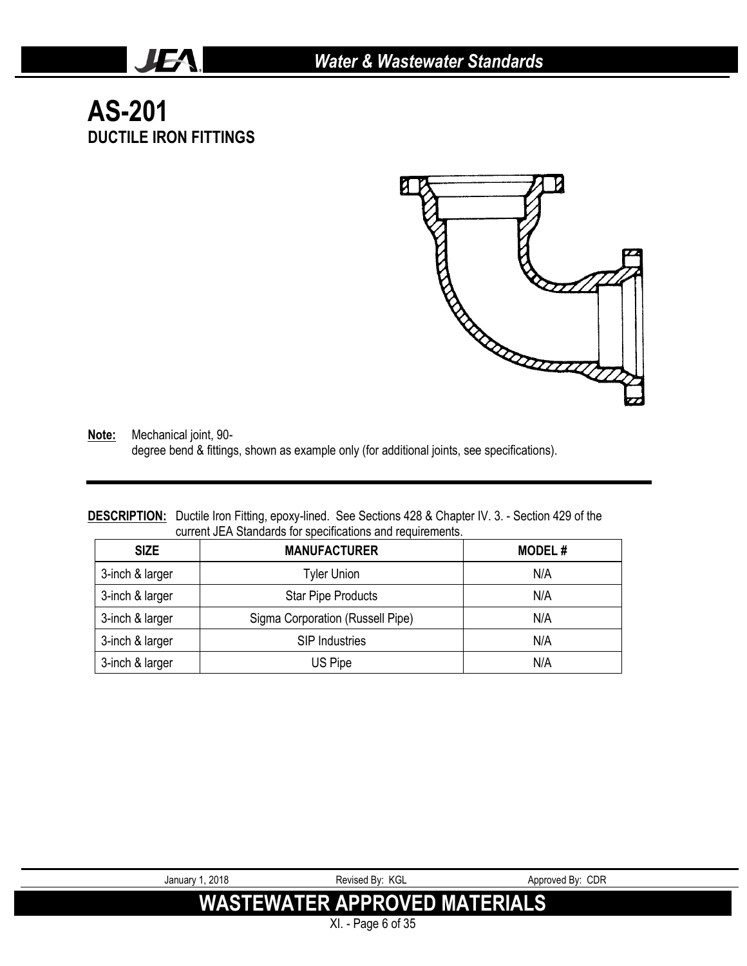## **AS-201 DUCTILE IRON FITTINGS**

JEA.



**Note:** Mechanical joint, 90 degree bend & fittings, shown as example only (for additional joints, see specifications).

#### **DESCRIPTION:** Ductile Iron Fitting, epoxy-lined. See Sections 428 & Chapter IV. 3. - Section 429 of the current JEA Standards for specifications and requirements.

| <b>SIZE</b>     | <b>MANUFACTURER</b>              | <b>MODEL#</b> |
|-----------------|----------------------------------|---------------|
| 3-inch & larger | <b>Tyler Union</b>               | N/A           |
| 3-inch & larger | <b>Star Pipe Products</b>        | N/A           |
| 3-inch & larger | Sigma Corporation (Russell Pipe) | N/A           |
| 3-inch & larger | <b>SIP Industries</b>            | N/A           |
| 3-inch & larger | US Pipe                          | N/A           |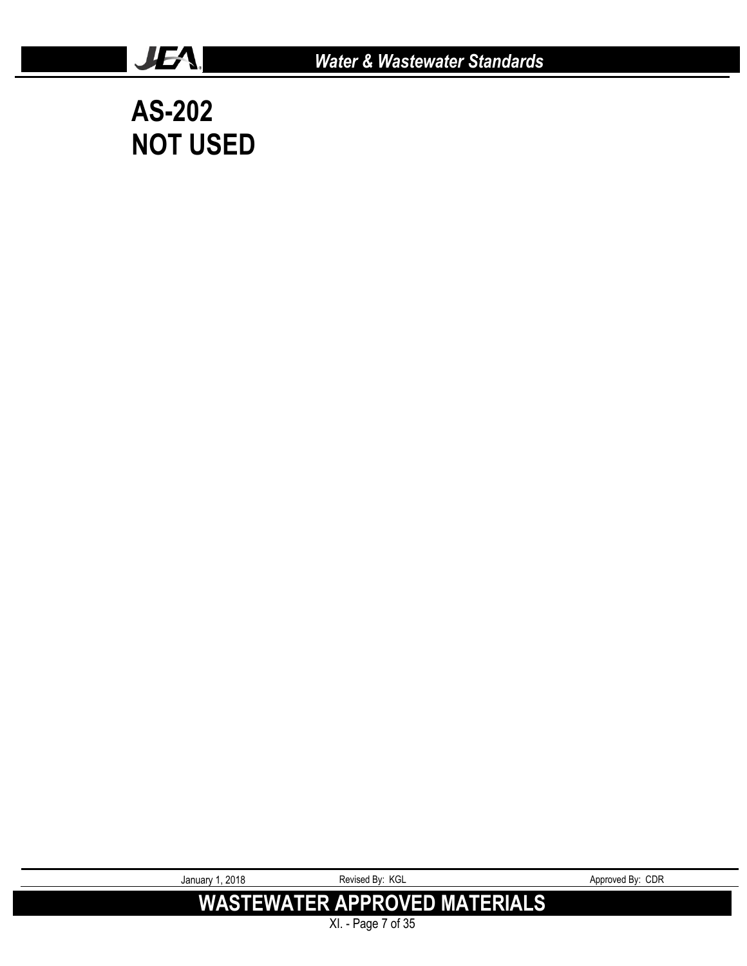

**AS-202 NOT USED**

JEA.

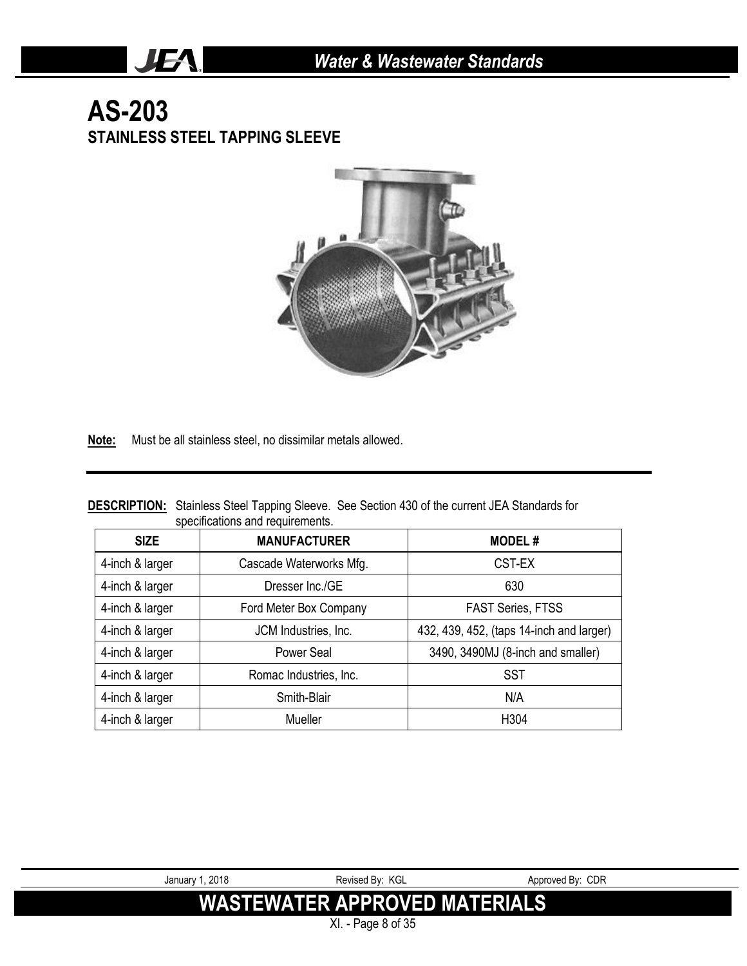### **AS-203 STAINLESS STEEL TAPPING SLEEVE**

JEA.



**Note:** Must be all stainless steel, no dissimilar metals allowed.

|                                  | <b>DESCRIPTION:</b> Stainless Steel Tapping Sleeve. See Section 430 of the current JEA Standards for |
|----------------------------------|------------------------------------------------------------------------------------------------------|
| specifications and requirements. |                                                                                                      |

| <b>SIZE</b>     | <b>MANUFACTURER</b>     | <b>MODEL#</b>                            |
|-----------------|-------------------------|------------------------------------------|
| 4-inch & larger | Cascade Waterworks Mfg. | CST-EX                                   |
| 4-inch & larger | Dresser Inc./GE         | 630                                      |
| 4-inch & larger | Ford Meter Box Company  | <b>FAST Series, FTSS</b>                 |
| 4-inch & larger | JCM Industries, Inc.    | 432, 439, 452, (taps 14-inch and larger) |
| 4-inch & larger | Power Seal              | 3490, 3490MJ (8-inch and smaller)        |
| 4-inch & larger | Romac Industries, Inc.  | <b>SST</b>                               |
| 4-inch & larger | Smith-Blair             | N/A                                      |
| 4-inch & larger | Mueller                 | H304                                     |

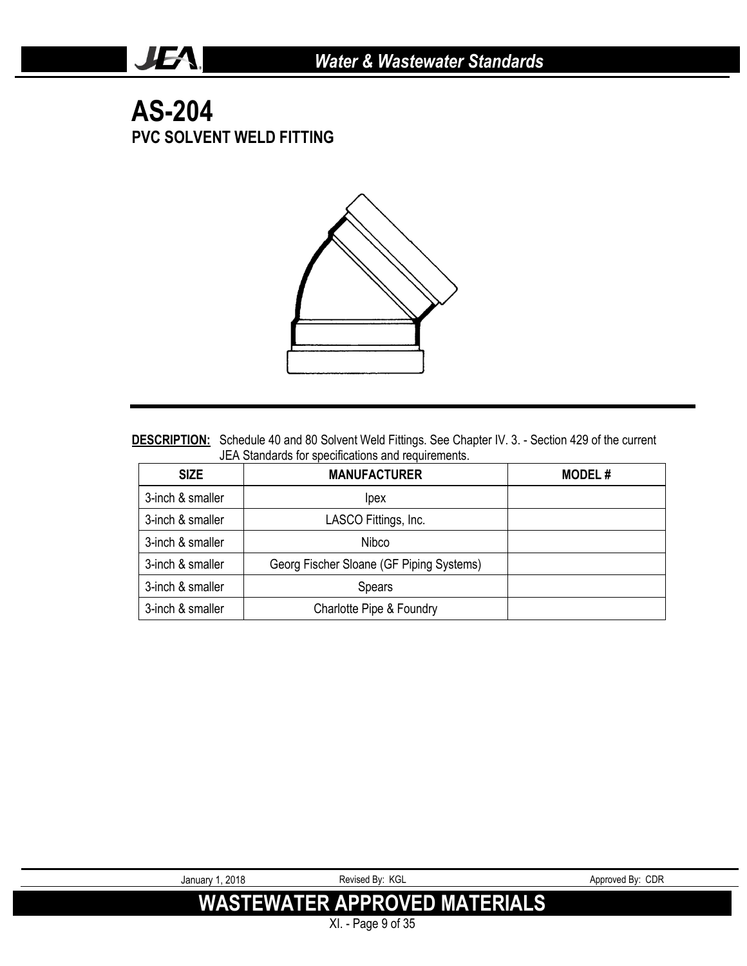### **AS-204 PVC SOLVENT WELD FITTING**

JEA.



DESCRIPTION: Schedule 40 and 80 Solvent Weld Fittings. See Chapter IV. 3. - Section 429 of the current JEA Standards for specifications and requirements.

| <b>SIZE</b>      | <b>MANUFACTURER</b>                      | <b>MODEL#</b> |
|------------------|------------------------------------------|---------------|
| 3-inch & smaller | <i>lpex</i>                              |               |
| 3-inch & smaller | LASCO Fittings, Inc.                     |               |
| 3-inch & smaller | Nibco                                    |               |
| 3-inch & smaller | Georg Fischer Sloane (GF Piping Systems) |               |
| 3-inch & smaller | Spears                                   |               |
| 3-inch & smaller | Charlotte Pipe & Foundry                 |               |

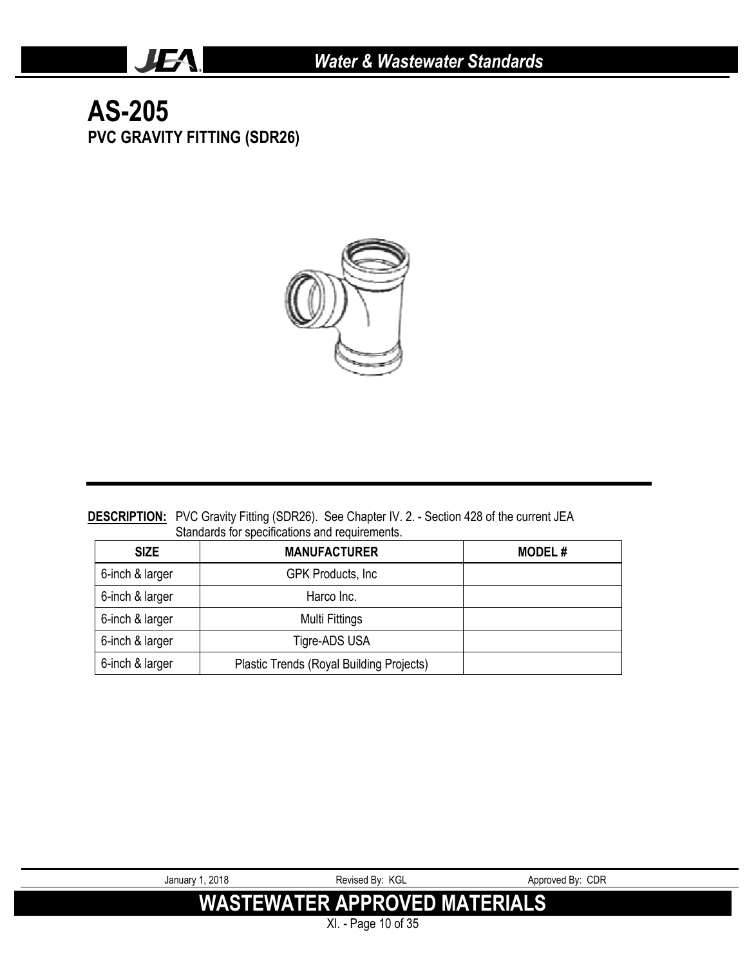### **AS-205 PVC GRAVITY FITTING (SDR26)**

JEA.



#### **DESCRIPTION:** PVC Gravity Fitting (SDR26). See Chapter IV. 2. - Section 428 of the current JEA Standards for specifications and requirements.

| <b>SIZE</b>     | <b>MANUFACTURER</b>                      | <b>MODEL#</b> |
|-----------------|------------------------------------------|---------------|
| 6-inch & larger | <b>GPK Products, Inc.</b>                |               |
| 6-inch & larger | Harco Inc.                               |               |
| 6-inch & larger | Multi Fittings                           |               |
| 6-inch & larger | Tigre-ADS USA                            |               |
| 6-inch & larger | Plastic Trends (Royal Building Projects) |               |

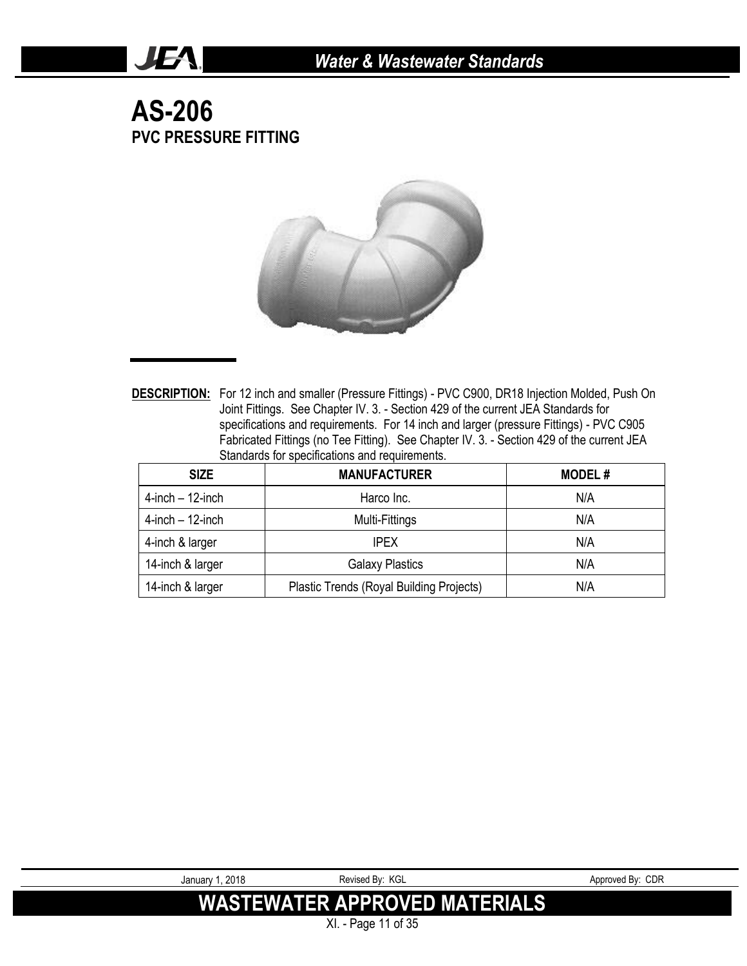### **AS-206 PVC PRESSURE FITTING**

JEA!



**DESCRIPTION:** For 12 inch and smaller (Pressure Fittings) - PVC C900, DR18 Injection Molded, Push On Joint Fittings. See Chapter IV. 3. - Section 429 of the current JEA Standards for specifications and requirements. For 14 inch and larger (pressure Fittings) - PVC C905 Fabricated Fittings (no Tee Fitting). See Chapter IV. 3. - Section 429 of the current JEA Standards for specifications and requirements.

| <b>SIZE</b>           | <b>MANUFACTURER</b>                      | <b>MODEL#</b> |
|-----------------------|------------------------------------------|---------------|
| $4$ -inch $-12$ -inch | Harco Inc.                               | N/A           |
| $4$ -inch $-12$ -inch | Multi-Fittings                           | N/A           |
| 4-inch & larger       | <b>IPEX</b>                              | N/A           |
| 14-inch & larger      | <b>Galaxy Plastics</b>                   | N/A           |
| 14-inch & larger      | Plastic Trends (Royal Building Projects) | N/A           |

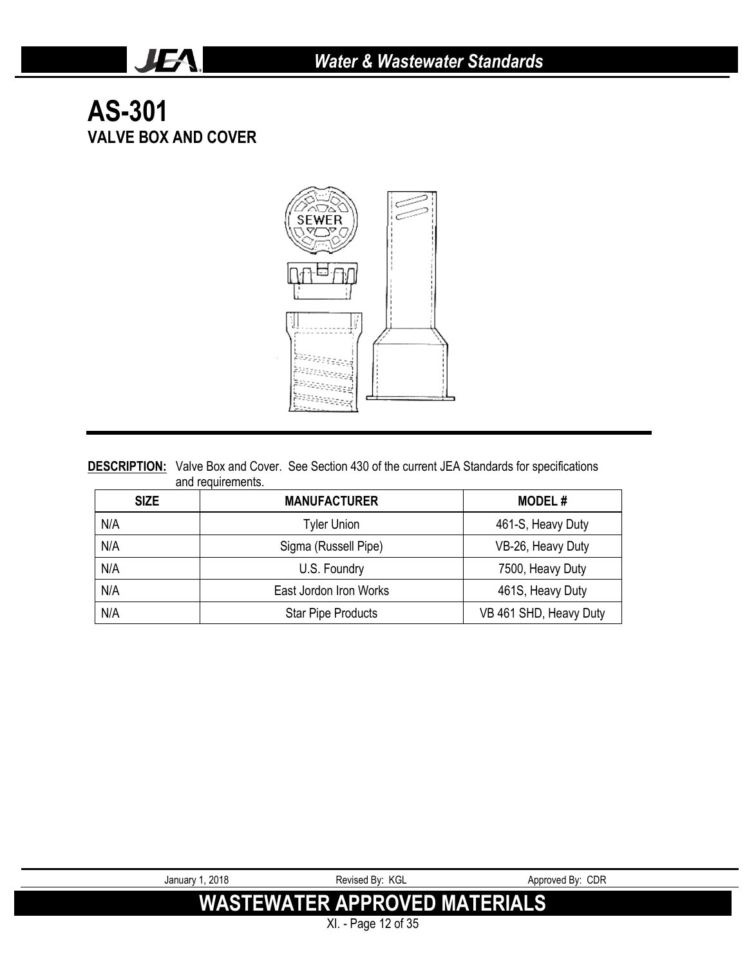## **AS-301 VALVE BOX AND COVER**

JEA.



#### **DESCRIPTION:** Valve Box and Cover. See Section 430 of the current JEA Standards for specifications and requirements.

| <b>SIZE</b> | <b>MANUFACTURER</b>       | <b>MODEL#</b>          |
|-------------|---------------------------|------------------------|
| N/A         | <b>Tyler Union</b>        | 461-S, Heavy Duty      |
| N/A         | Sigma (Russell Pipe)      | VB-26, Heavy Duty      |
| N/A         | U.S. Foundry              | 7500, Heavy Duty       |
| N/A         | East Jordon Iron Works    | 461S, Heavy Duty       |
| N/A         | <b>Star Pipe Products</b> | VB 461 SHD, Heavy Duty |

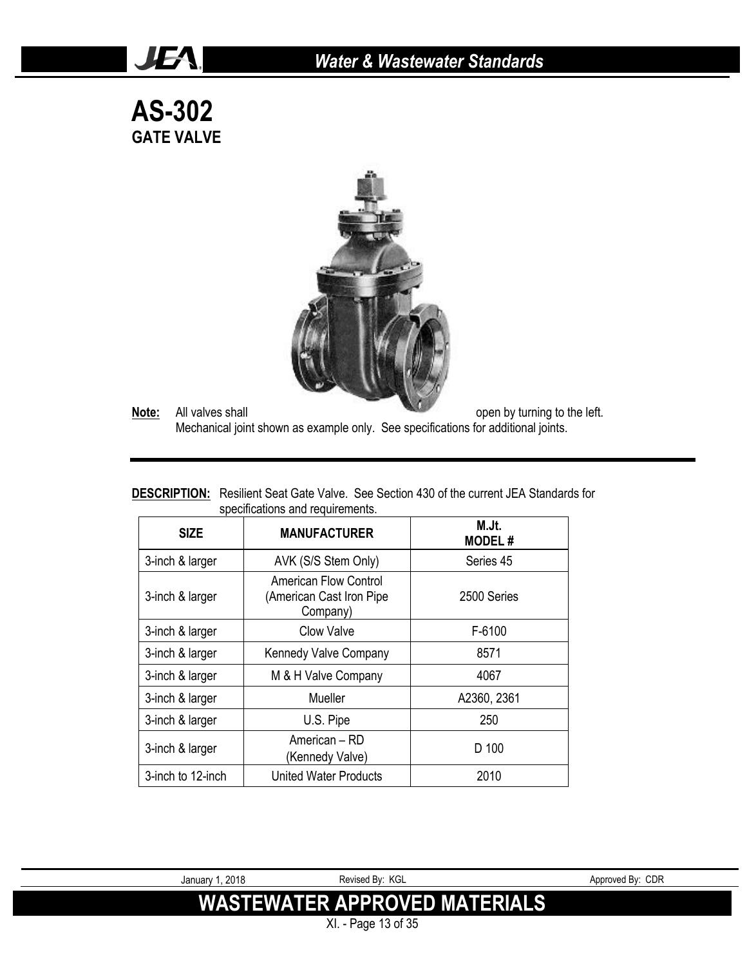### *Water & Wastewater Standards*

**AS-302 GATE VALVE**

JEA.



**Note:** All valves shall **Note:** All valves shall **open** by turning to the left.

Mechanical joint shown as example only. See specifications for additional joints.

**DESCRIPTION:** Resilient Seat Gate Valve. See Section 430 of the current JEA Standards for specifications and requirements.

| <b>SIZE</b>       | <b>MANUFACTURER</b>                                           | M.Jt.<br><b>MODEL#</b> |
|-------------------|---------------------------------------------------------------|------------------------|
| 3-inch & larger   | AVK (S/S Stem Only)                                           | Series 45              |
| 3-inch & larger   | American Flow Control<br>(American Cast Iron Pipe<br>Company) | 2500 Series            |
| 3-inch & larger   | Clow Valve                                                    | F-6100                 |
| 3-inch & larger   | Kennedy Valve Company                                         | 8571                   |
| 3-inch & larger   | M & H Valve Company                                           | 4067                   |
| 3-inch & larger   | Mueller                                                       | A2360, 2361            |
| 3-inch & larger   | U.S. Pipe                                                     | 250                    |
| 3-inch & larger   | American - RD<br>(Kennedy Valve)                              | D 100                  |
| 3-inch to 12-inch | <b>United Water Products</b>                                  | 2010                   |

XI. - Page 13 of 35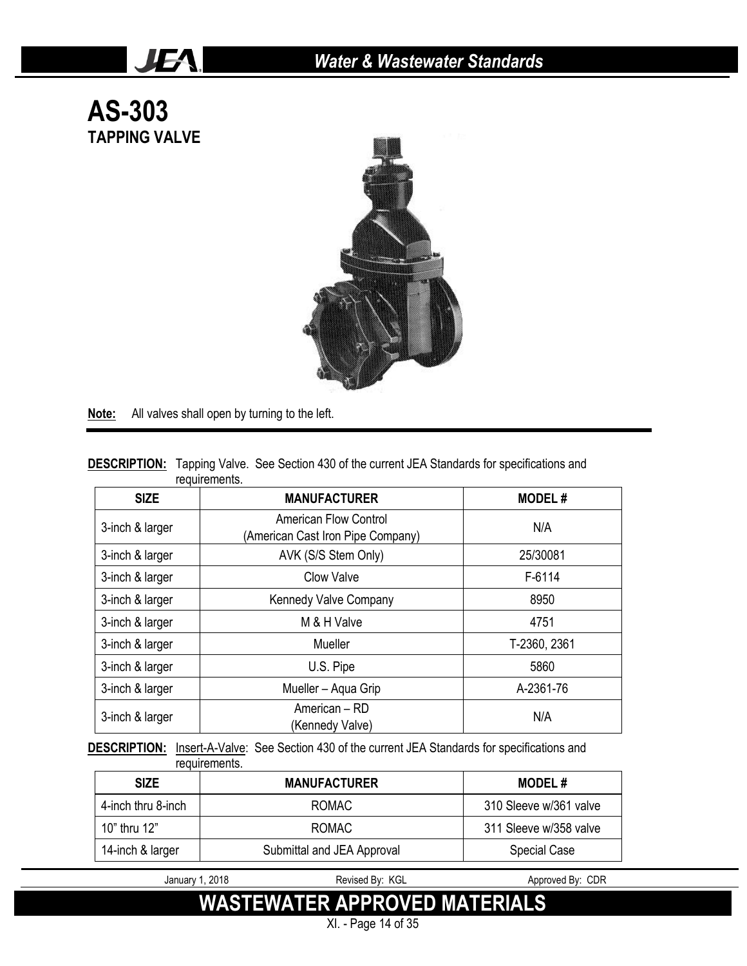

**Note:** All valves shall open by turning to the left.

JEA.

|               | <b>DESCRIPTION:</b> Tapping Valve. See Section 430 of the current JEA Standards for specifications and |
|---------------|--------------------------------------------------------------------------------------------------------|
| requirements. |                                                                                                        |

| <b>SIZE</b>     | <b>MANUFACTURER</b>                                               | <b>MODEL#</b> |
|-----------------|-------------------------------------------------------------------|---------------|
| 3-inch & larger | <b>American Flow Control</b><br>(American Cast Iron Pipe Company) | N/A           |
| 3-inch & larger | AVK (S/S Stem Only)                                               | 25/30081      |
| 3-inch & larger | <b>Clow Valve</b>                                                 | F-6114        |
| 3-inch & larger | Kennedy Valve Company                                             | 8950          |
| 3-inch & larger | M & H Valve                                                       | 4751          |
| 3-inch & larger | Mueller                                                           | T-2360, 2361  |
| 3-inch & larger | U.S. Pipe                                                         | 5860          |
| 3-inch & larger | Mueller - Aqua Grip                                               | A-2361-76     |
| 3-inch & larger | American - RD<br>(Kennedy Valve)                                  | N/A           |

**DESCRIPTION:** Insert-A-Valve: See Section 430 of the current JEA Standards for specifications and requirements.

| <b>SIZE</b>        | <b>MANUFACTURER</b>        | <b>MODEL#</b>          |
|--------------------|----------------------------|------------------------|
| 4-inch thru 8-inch | ROMAC                      | 310 Sleeve w/361 valve |
| 10" thru 12"       | ROMAC                      | 311 Sleeve w/358 valve |
| 14-inch & larger   | Submittal and JEA Approval | <b>Special Case</b>    |

January 1, 2018 **Revised By: KGL** Approved By: CDR

**WASTEWATER APPROVED MATERIALS**

XI. - Page 14 of 35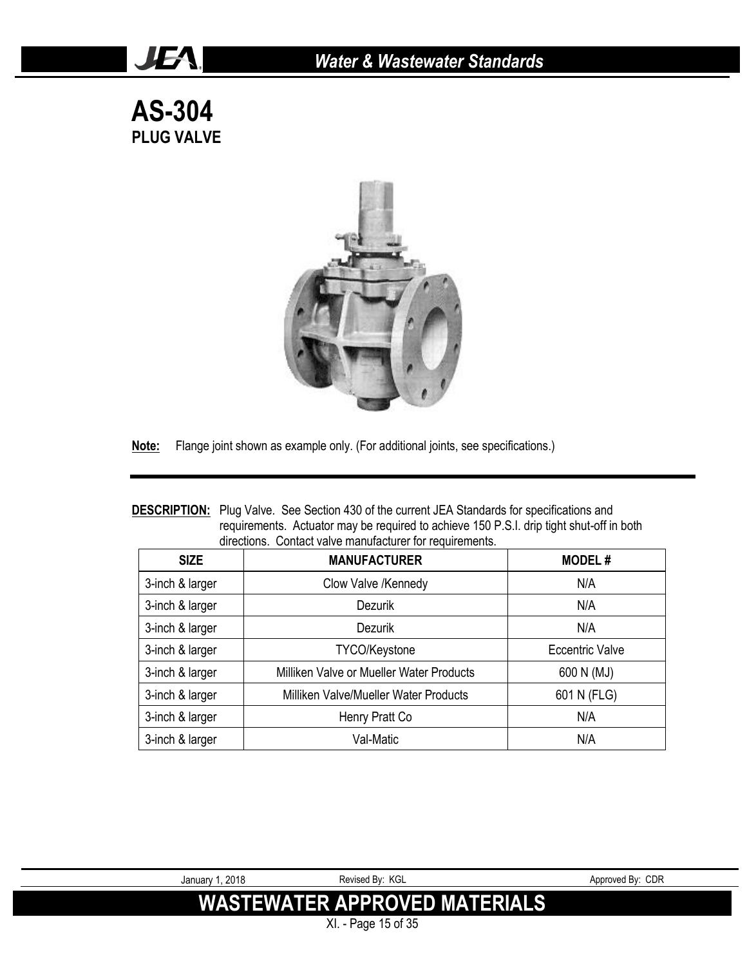### *Water & Wastewater Standards*

**AS-304 PLUG VALVE**

JEA!



**Note:** Flange joint shown as example only. (For additional joints, see specifications.)

#### **DESCRIPTION:** Plug Valve. See Section 430 of the current JEA Standards for specifications and requirements. Actuator may be required to achieve 150 P.S.I. drip tight shut-off in both directions. Contact valve manufacturer for requirements.

| <b>SIZE</b>     | <b>MANUFACTURER</b>                      | <b>MODEL#</b>   |
|-----------------|------------------------------------------|-----------------|
| 3-inch & larger | Clow Valve /Kennedy                      | N/A             |
| 3-inch & larger | <b>Dezurik</b>                           | N/A             |
| 3-inch & larger | Dezurik                                  | N/A             |
| 3-inch & larger | <b>TYCO/Keystone</b>                     | Eccentric Valve |
| 3-inch & larger | Milliken Valve or Mueller Water Products | 600 N (MJ)      |
| 3-inch & larger | Milliken Valve/Mueller Water Products    | 601 N (FLG)     |
| 3-inch & larger | Henry Pratt Co                           | N/A             |
| 3-inch & larger | Val-Matic                                | N/A             |

XI. - Page 15 of 35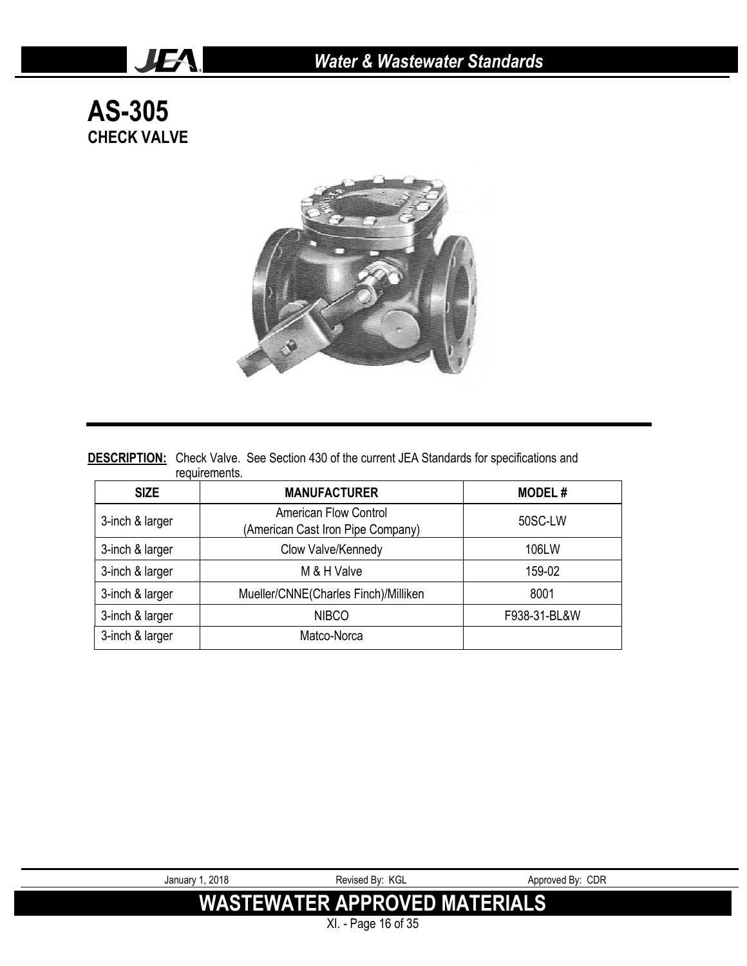**AS-305 CHECK VALVE**

JEA.



#### **DESCRIPTION:** Check Valve. See Section 430 of the current JEA Standards for specifications and requirements.

| <b>SIZE</b>     | <b>MANUFACTURER</b>                                               | <b>MODEL#</b> |
|-----------------|-------------------------------------------------------------------|---------------|
| 3-inch & larger | <b>American Flow Control</b><br>(American Cast Iron Pipe Company) | 50SC-LW       |
| 3-inch & larger | Clow Valve/Kennedy                                                | 106LW         |
| 3-inch & larger | M & H Valve                                                       | 159-02        |
| 3-inch & larger | Mueller/CNNE(Charles Finch)/Milliken                              | 8001          |
| 3-inch & larger | <b>NIBCO</b>                                                      | F938-31-BL&W  |
| 3-inch & larger | Matco-Norca                                                       |               |

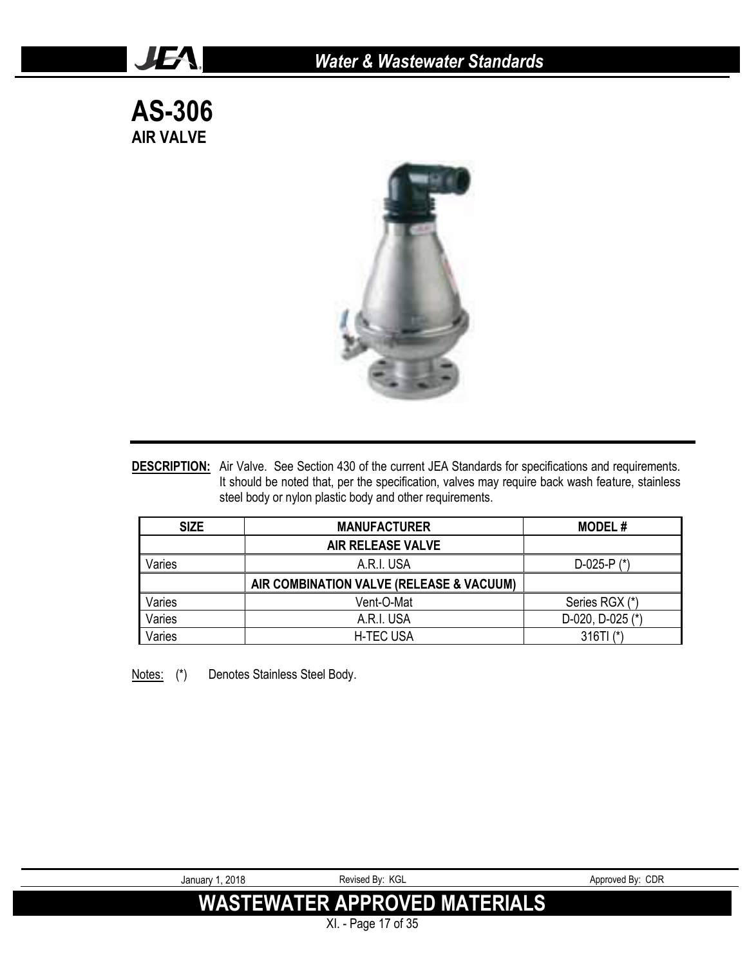**AS-306 AIR VALVE**

JEA.



**DESCRIPTION:** Air Valve. See Section 430 of the current JEA Standards for specifications and requirements. It should be noted that, per the specification, valves may require back wash feature, stainless steel body or nylon plastic body and other requirements.

| <b>SIZE</b> | <b>MANUFACTURER</b>                      | <b>MODEL#</b>         |
|-------------|------------------------------------------|-----------------------|
|             | <b>AIR RELEASE VALVE</b>                 |                       |
| Varies      | A.R.I. USA                               | D-025-P $(*)$         |
|             | AIR COMBINATION VALVE (RELEASE & VACUUM) |                       |
| Varies      | Vent-O-Mat                               | Series RGX (*)        |
| Varies      | A.R.I. USA                               | $D-020$ , $D-025$ (*) |
| Varies      | <b>H-TEC USA</b>                         | $316T1$ (*)           |

Notes: (\*) Denotes Stainless Steel Body.



XI. - Page 17 of 35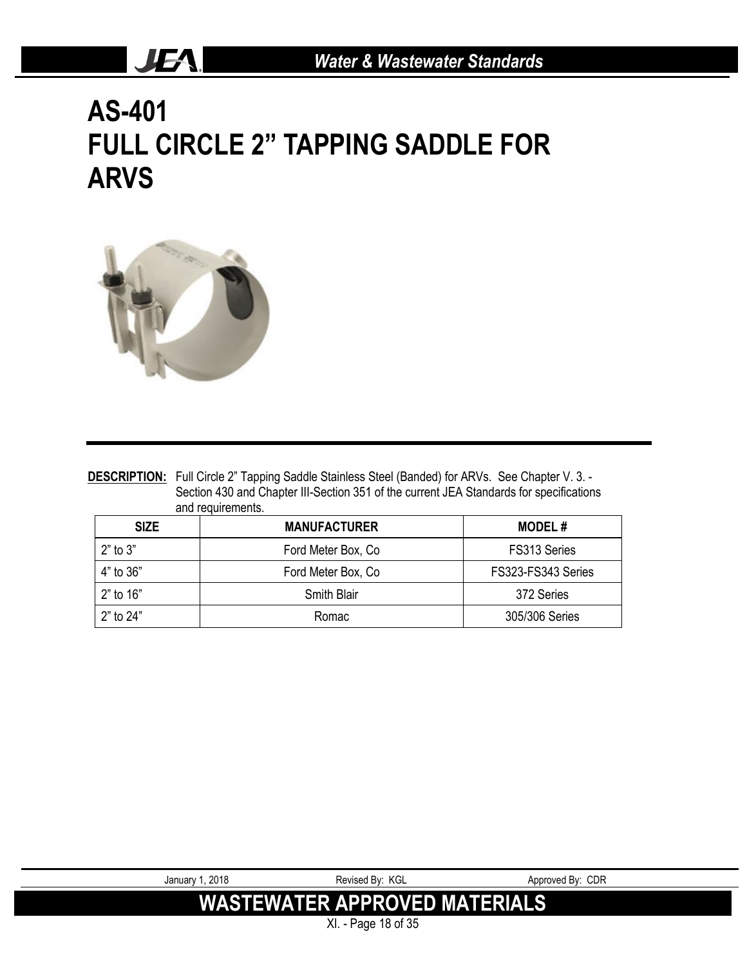# **AS-401 FULL CIRCLE 2" TAPPING SADDLE FOR ARVS**



JEA.

|              | <b>DESCRIPTION:</b> Full Circle 2" Tapping Saddle Stainless Steel (Banded) for ARVs. See Chapter V. 3. -<br>Section 430 and Chapter III-Section 351 of the current JEA Standards for specifications<br>and requirements. |                    |
|--------------|--------------------------------------------------------------------------------------------------------------------------------------------------------------------------------------------------------------------------|--------------------|
| <b>SIZE</b>  | <b>MANUFACTURER</b>                                                                                                                                                                                                      | <b>MODEL#</b>      |
| $2"$ to $3"$ | Ford Meter Box, Co.                                                                                                                                                                                                      | FS313 Series       |
| 4" to 36"    | Ford Meter Box, Co.                                                                                                                                                                                                      | FS323-FS343 Series |
| 2" to 16"    | Smith Blair                                                                                                                                                                                                              | 372 Series         |
| 2" to 24"    | Romac                                                                                                                                                                                                                    | 305/306 Series     |

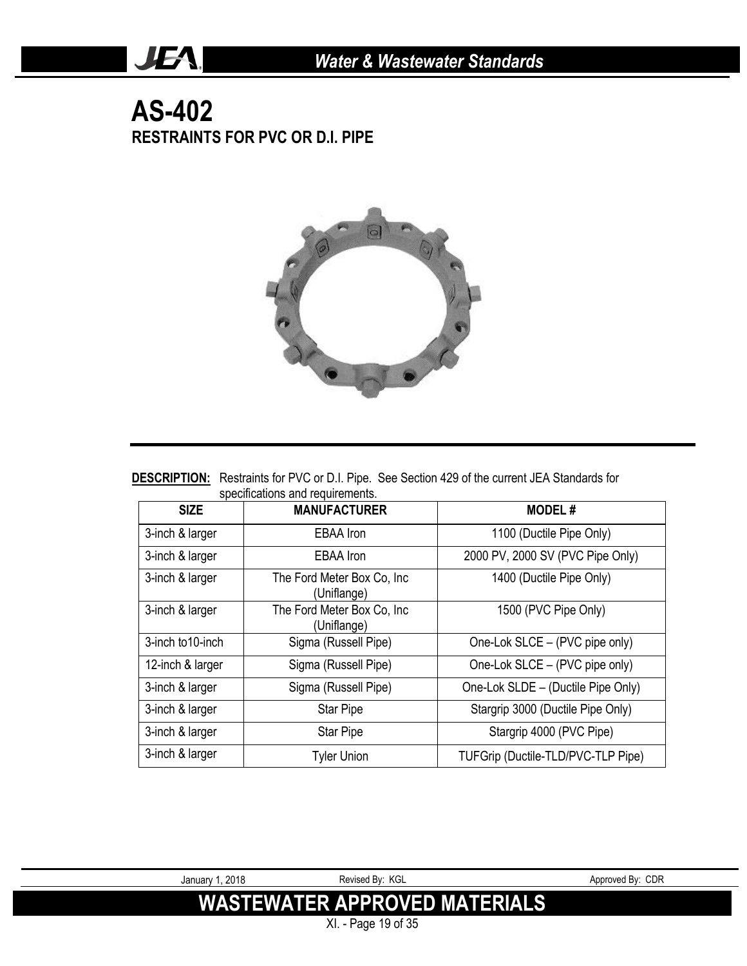### **AS-402 RESTRAINTS FOR PVC OR D.I. PIPE**

**JEA** 



|                                  | <b>DESCRIPTION:</b> Restraints for PVC or D.I. Pipe. See Section 429 of the current JEA Standards for |
|----------------------------------|-------------------------------------------------------------------------------------------------------|
| specifications and requirements. |                                                                                                       |

| <b>SIZE</b>       | <b>MANUFACTURER</b>                        | <b>MODEL#</b>                      |
|-------------------|--------------------------------------------|------------------------------------|
| 3-inch & larger   | <b>EBAA</b> Iron                           | 1100 (Ductile Pipe Only)           |
| 3-inch & larger   | EBAA Iron                                  | 2000 PV, 2000 SV (PVC Pipe Only)   |
| 3-inch & larger   | The Ford Meter Box Co, Inc.<br>(Uniflange) | 1400 (Ductile Pipe Only)           |
| 3-inch & larger   | The Ford Meter Box Co, Inc.<br>(Uniflange) | 1500 (PVC Pipe Only)               |
| 3-inch to 10-inch | Sigma (Russell Pipe)                       | One-Lok SLCE - (PVC pipe only)     |
| 12-inch & larger  | Sigma (Russell Pipe)                       | One-Lok SLCE - (PVC pipe only)     |
| 3-inch & larger   | Sigma (Russell Pipe)                       | One-Lok SLDE - (Ductile Pipe Only) |
| 3-inch & larger   | <b>Star Pipe</b>                           | Stargrip 3000 (Ductile Pipe Only)  |
| 3-inch & larger   | Star Pipe                                  | Stargrip 4000 (PVC Pipe)           |
| 3-inch & larger   | <b>Tyler Union</b>                         | TUFGrip (Ductile-TLD/PVC-TLP Pipe) |

| January 1, 2018 | Revised By: KGL                      | Approved By: CDR |
|-----------------|--------------------------------------|------------------|
|                 | <b>WASTEWATER APPROVED MATERIALS</b> |                  |
|                 | XI. - Page 19 of 35                  |                  |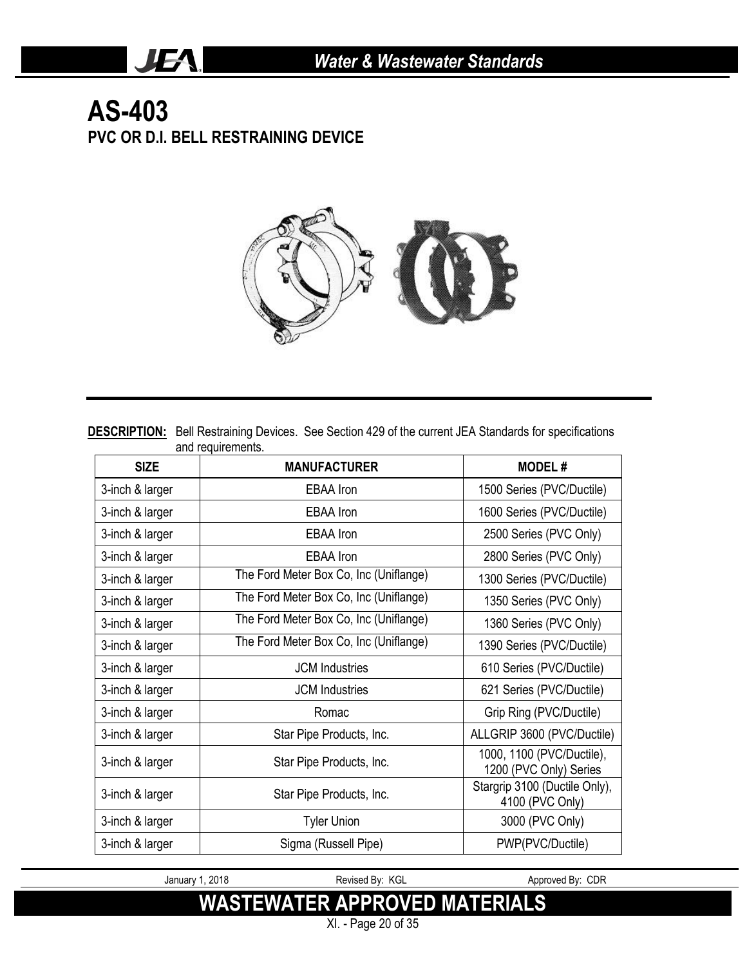### **AS-403 PVC OR D.I. BELL RESTRAINING DEVICE**

JEA.



**DESCRIPTION:** Bell Restraining Devices. See Section 429 of the current JEA Standards for specifications and requirements.

| <b>SIZE</b>     | <b>MANUFACTURER</b>                    | <b>MODEL#</b>                                       |
|-----------------|----------------------------------------|-----------------------------------------------------|
| 3-inch & larger | <b>EBAA</b> Iron                       | 1500 Series (PVC/Ductile)                           |
| 3-inch & larger | <b>EBAA</b> Iron                       | 1600 Series (PVC/Ductile)                           |
| 3-inch & larger | <b>EBAA</b> Iron                       | 2500 Series (PVC Only)                              |
| 3-inch & larger | EBAA Iron                              | 2800 Series (PVC Only)                              |
| 3-inch & larger | The Ford Meter Box Co, Inc (Uniflange) | 1300 Series (PVC/Ductile)                           |
| 3-inch & larger | The Ford Meter Box Co, Inc (Uniflange) | 1350 Series (PVC Only)                              |
| 3-inch & larger | The Ford Meter Box Co, Inc (Uniflange) | 1360 Series (PVC Only)                              |
| 3-inch & larger | The Ford Meter Box Co, Inc (Uniflange) | 1390 Series (PVC/Ductile)                           |
| 3-inch & larger | <b>JCM</b> Industries                  | 610 Series (PVC/Ductile)                            |
| 3-inch & larger | <b>JCM</b> Industries                  | 621 Series (PVC/Ductile)                            |
| 3-inch & larger | Romac                                  | Grip Ring (PVC/Ductile)                             |
| 3-inch & larger | Star Pipe Products, Inc.               | ALLGRIP 3600 (PVC/Ductile)                          |
| 3-inch & larger | Star Pipe Products, Inc.               | 1000, 1100 (PVC/Ductile),<br>1200 (PVC Only) Series |
| 3-inch & larger | Star Pipe Products, Inc.               | Stargrip 3100 (Ductile Only),<br>4100 (PVC Only)    |
| 3-inch & larger | <b>Tyler Union</b>                     | 3000 (PVC Only)                                     |
| 3-inch & larger | Sigma (Russell Pipe)                   | PWP(PVC/Ductile)                                    |

January 1, 2018 **Revised By: KGL** Approved By: CDR

**WASTEWATER APPROVED MATERIALS**

XI. - Page 20 of 35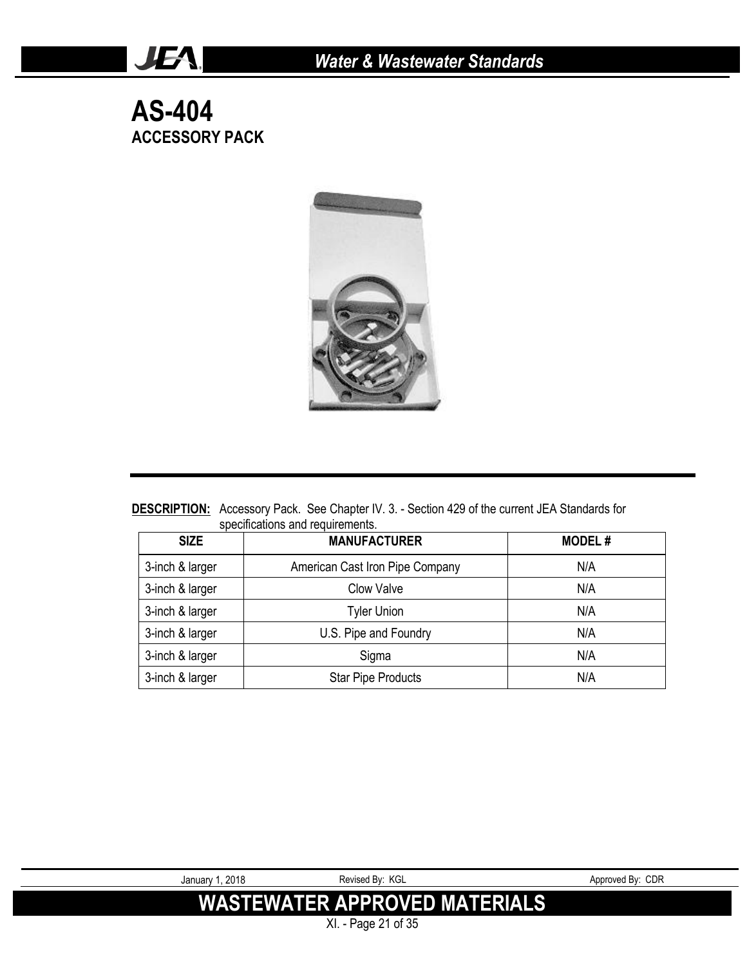**AS-404 ACCESSORY PACK**

JEA.



**DESCRIPTION:** Accessory Pack. See Chapter IV. 3. - Section 429 of the current JEA Standards for specifications and requirements.

| <b>SIZE</b>     | <b>MANUFACTURER</b>             | <b>MODEL#</b> |
|-----------------|---------------------------------|---------------|
| 3-inch & larger | American Cast Iron Pipe Company | N/A           |
| 3-inch & larger | Clow Valve                      | N/A           |
| 3-inch & larger | <b>Tyler Union</b>              | N/A           |
| 3-inch & larger | U.S. Pipe and Foundry           | N/A           |
| 3-inch & larger | Sigma                           | N/A           |
| 3-inch & larger | <b>Star Pipe Products</b>       | N/A           |



XI. - Page 21 of 35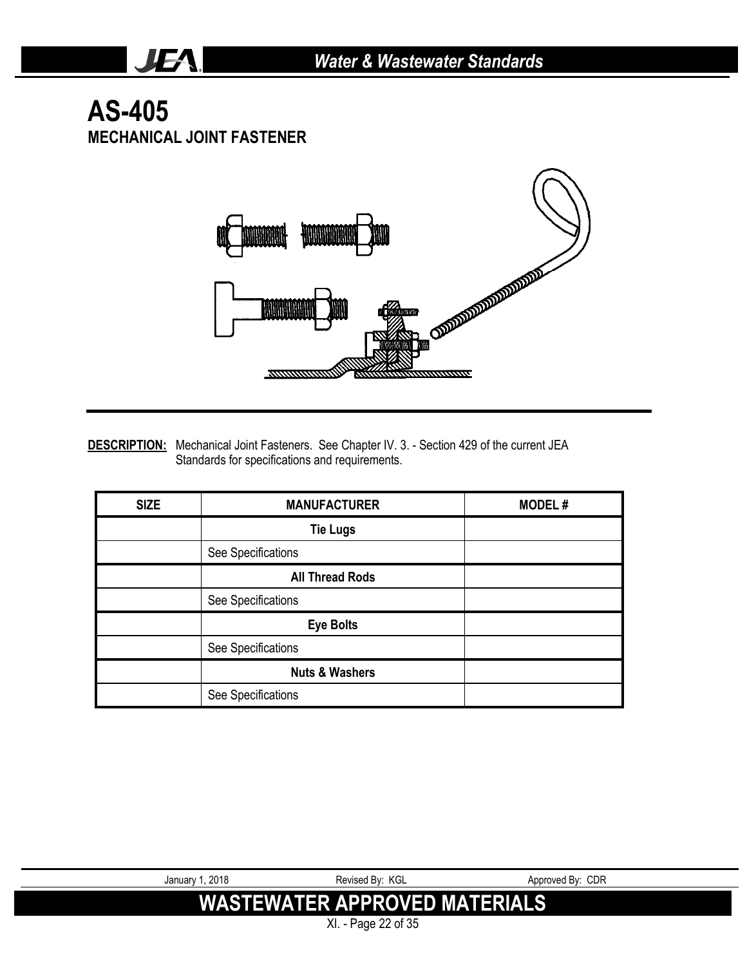### **AS-405 MECHANICAL JOINT FASTENER**

JEA.



**DESCRIPTION:** Mechanical Joint Fasteners. See Chapter IV. 3. - Section 429 of the current JEA Standards for specifications and requirements.

| <b>SIZE</b> | <b>MANUFACTURER</b>       | <b>MODEL#</b> |
|-------------|---------------------------|---------------|
|             | <b>Tie Lugs</b>           |               |
|             | See Specifications        |               |
|             | <b>All Thread Rods</b>    |               |
|             | See Specifications        |               |
|             | <b>Eye Bolts</b>          |               |
|             | See Specifications        |               |
|             | <b>Nuts &amp; Washers</b> |               |
|             | See Specifications        |               |

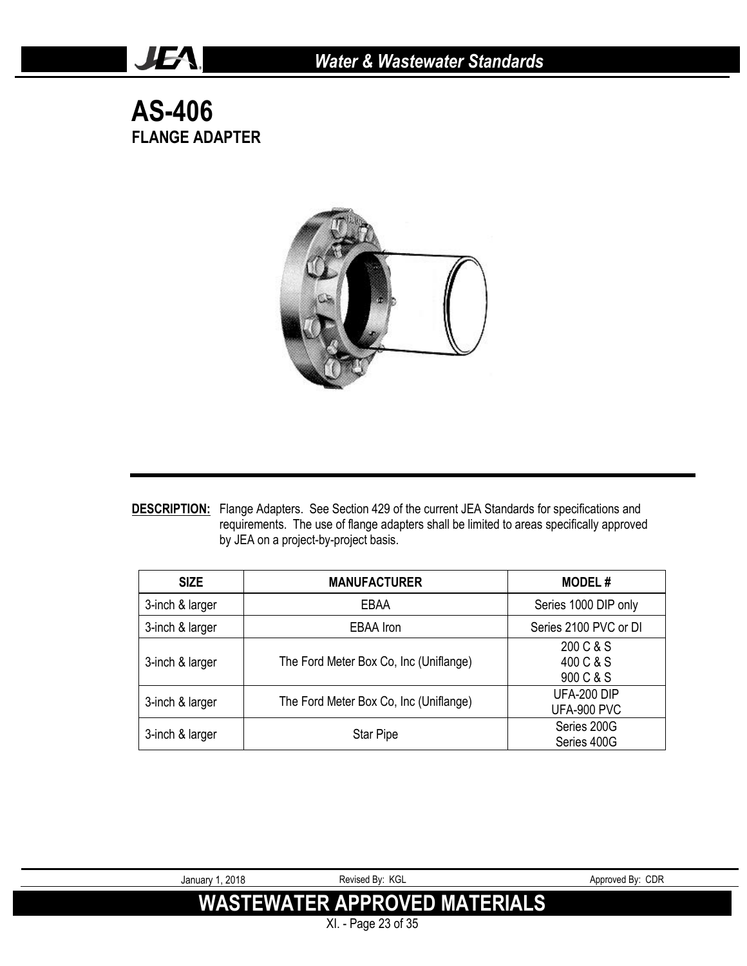**AS-406 FLANGE ADAPTER**

JEA.



**DESCRIPTION:** Flange Adapters. See Section 429 of the current JEA Standards for specifications and requirements. The use of flange adapters shall be limited to areas specifically approved by JEA on a project-by-project basis.

| <b>SIZE</b>     | <b>MANUFACTURER</b>                    | <b>MODEL#</b>                       |
|-----------------|----------------------------------------|-------------------------------------|
| 3-inch & larger | EBAA                                   | Series 1000 DIP only                |
| 3-inch & larger | <b>EBAA</b> Iron                       | Series 2100 PVC or DI               |
| 3-inch & larger | The Ford Meter Box Co, Inc (Uniflange) | 200 C & S<br>400 C & S<br>900 C & S |
| 3-inch & larger | The Ford Meter Box Co, Inc (Uniflange) | UFA-200 DIP<br>UFA-900 PVC          |
| 3-inch & larger | <b>Star Pipe</b>                       | Series 200G<br>Series 400G          |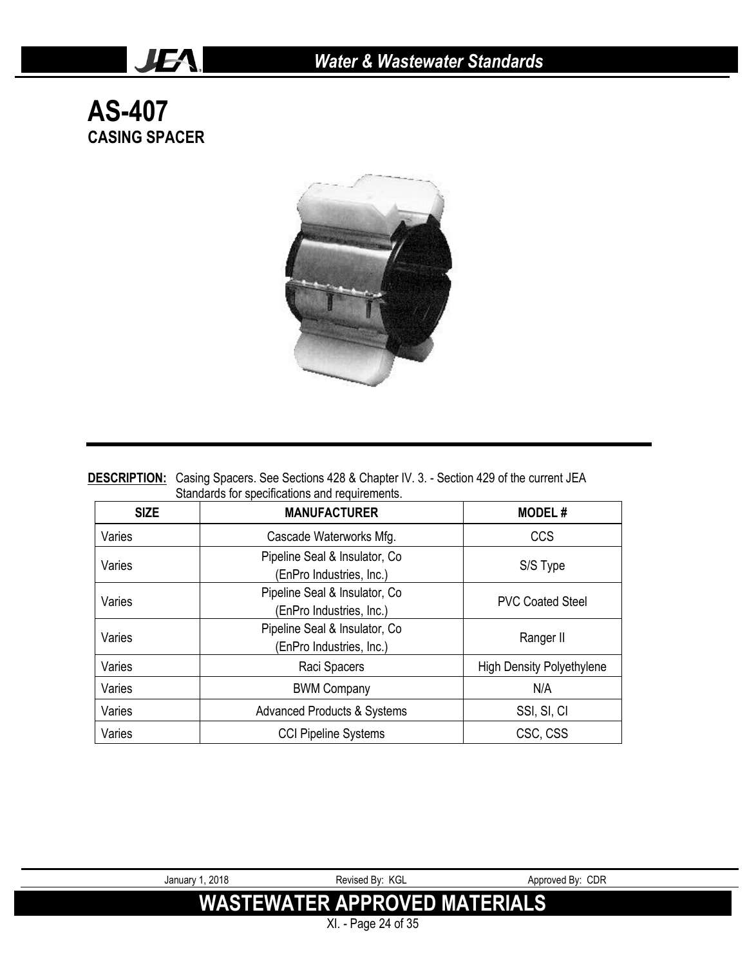## **AS-407 CASING SPACER**

JEA.



| <b>DESCRIPTION:</b> Casing Spacers. See Sections 428 & Chapter IV. 3. - Section 429 of the current JEA |
|--------------------------------------------------------------------------------------------------------|
| Standards for specifications and requirements.                                                         |

| <b>SIZE</b> | <b>MANUFACTURER</b>                                        | <b>MODEL#</b>                    |
|-------------|------------------------------------------------------------|----------------------------------|
| Varies      | Cascade Waterworks Mfg.                                    | CCS                              |
| Varies      | Pipeline Seal & Insulator, Co.<br>(EnPro Industries, Inc.) | S/S Type                         |
| Varies      | Pipeline Seal & Insulator, Co.<br>(EnPro Industries, Inc.) | <b>PVC Coated Steel</b>          |
| Varies      | Pipeline Seal & Insulator, Co<br>(EnPro Industries, Inc.)  | Ranger II                        |
| Varies      | Raci Spacers                                               | <b>High Density Polyethylene</b> |
| Varies      | <b>BWM Company</b>                                         | N/A                              |
| Varies      | <b>Advanced Products &amp; Systems</b>                     | SSI, SI, CI                      |
| Varies      | <b>CCI Pipeline Systems</b>                                | CSC, CSS                         |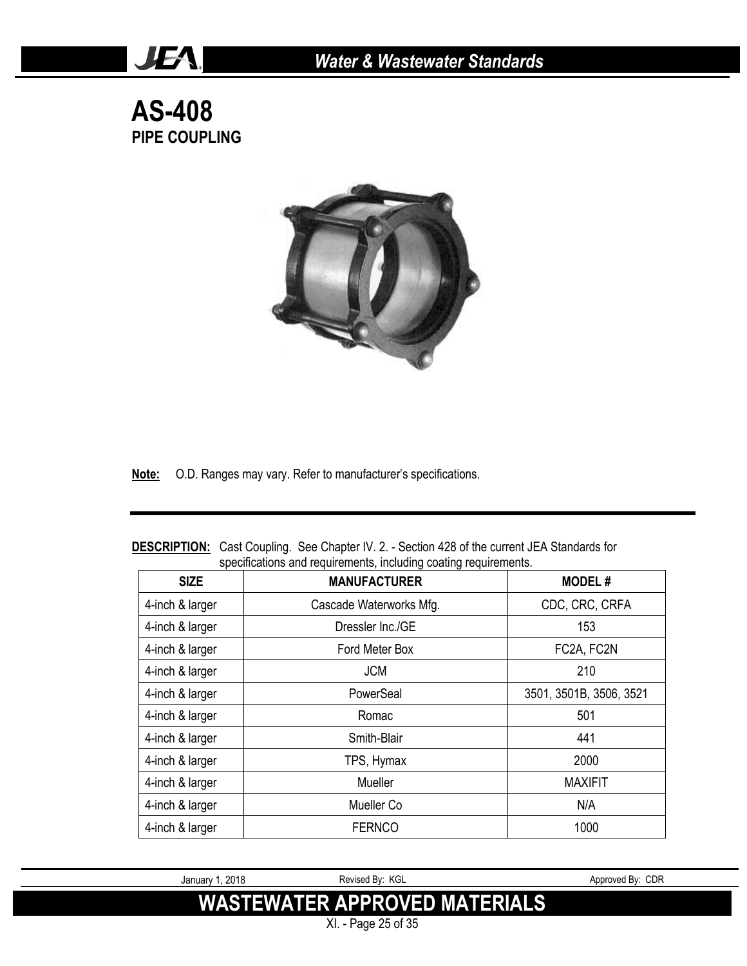**AS-408 PIPE COUPLING**

JEA.



**Note:** O.D. Ranges may vary. Refer to manufacturer's specifications.

| <b>SIZE</b>     | <b>MANUFACTURER</b>     | <b>MODEL#</b>           |
|-----------------|-------------------------|-------------------------|
| 4-inch & larger | Cascade Waterworks Mfg. | CDC, CRC, CRFA          |
| 4-inch & larger | Dressler Inc./GE        | 153                     |
| 4-inch & larger | Ford Meter Box          | FC2A, FC2N              |
| 4-inch & larger | <b>JCM</b>              | 210                     |
| 4-inch & larger | PowerSeal               | 3501, 3501B, 3506, 3521 |
| 4-inch & larger | Romac                   | 501                     |
| 4-inch & larger | Smith-Blair             | 441                     |
| 4-inch & larger | TPS, Hymax              | 2000                    |
| 4-inch & larger | Mueller                 | <b>MAXIFIT</b>          |
| 4-inch & larger | Mueller Co              | N/A                     |
| 4-inch & larger | <b>FERNCO</b>           | 1000                    |

**DESCRIPTION:** Cast Coupling. See Chapter IV. 2. - Section 428 of the current JEA Standards for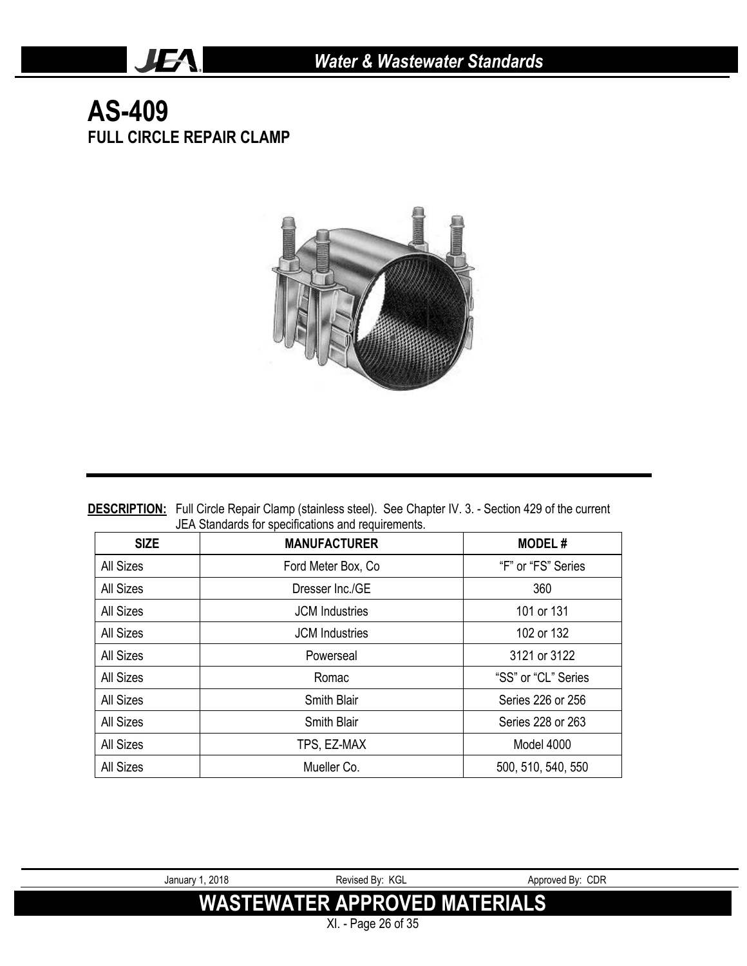### **AS-409 FULL CIRCLE REPAIR CLAMP**

JEA.



DESCRIPTION: Full Circle Repair Clamp (stainless steel). See Chapter IV. 3. - Section 429 of the current JEA Standards for specifications and requirements.

| <b>SIZE</b>      | <b>MANUFACTURER</b>   | <b>MODEL#</b>       |
|------------------|-----------------------|---------------------|
| All Sizes        | Ford Meter Box, Co.   | "F" or "FS" Series  |
| All Sizes        | Dresser Inc./GE       | 360                 |
| All Sizes        | <b>JCM</b> Industries | 101 or 131          |
| All Sizes        | <b>JCM</b> Industries | 102 or 132          |
| All Sizes        | Powerseal             | 3121 or 3122        |
| <b>All Sizes</b> | Romac                 | "SS" or "CL" Series |
| All Sizes        | Smith Blair           | Series 226 or 256   |
| <b>All Sizes</b> | Smith Blair           | Series 228 or 263   |
| All Sizes        | TPS, EZ-MAX           | Model 4000          |
| <b>All Sizes</b> | Mueller Co.           | 500, 510, 540, 550  |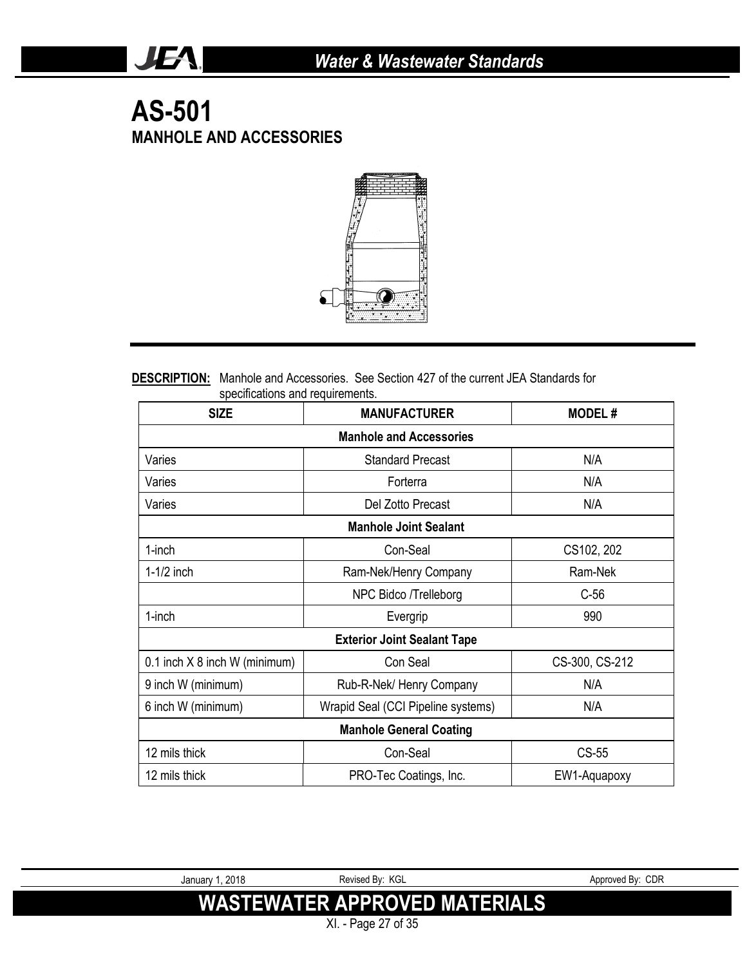### **AS-501 MANHOLE AND ACCESSORIES**

JEA.



#### **DESCRIPTION:** Manhole and Accessories. See Section 427 of the current JEA Standards for specifications and requirements.

| <b>SIZE</b>                     | <b>MANUFACTURER</b>                |                |  |  |
|---------------------------------|------------------------------------|----------------|--|--|
| <b>Manhole and Accessories</b>  |                                    |                |  |  |
| Varies                          | <b>Standard Precast</b>            | N/A            |  |  |
| Varies                          | Forterra                           | N/A            |  |  |
| Varies                          | Del Zotto Precast                  | N/A            |  |  |
|                                 | <b>Manhole Joint Sealant</b>       |                |  |  |
| 1-inch                          | Con-Seal                           | CS102, 202     |  |  |
| $1-1/2$ inch                    | Ram-Nek/Henry Company              | Ram-Nek        |  |  |
|                                 | NPC Bidco /Trelleborg              | $C-56$         |  |  |
| 1-inch                          | Evergrip                           | 990            |  |  |
|                                 | <b>Exterior Joint Sealant Tape</b> |                |  |  |
| 0.1 inch $X$ 8 inch W (minimum) | Con Seal                           | CS-300, CS-212 |  |  |
| 9 inch W (minimum)              | Rub-R-Nek/ Henry Company           | N/A            |  |  |
| 6 inch W (minimum)              | Wrapid Seal (CCI Pipeline systems) | N/A            |  |  |
| <b>Manhole General Coating</b>  |                                    |                |  |  |
| 12 mils thick                   | Con-Seal                           | CS-55          |  |  |
| 12 mils thick                   | PRO-Tec Coatings, Inc.             | EW1-Aquapoxy   |  |  |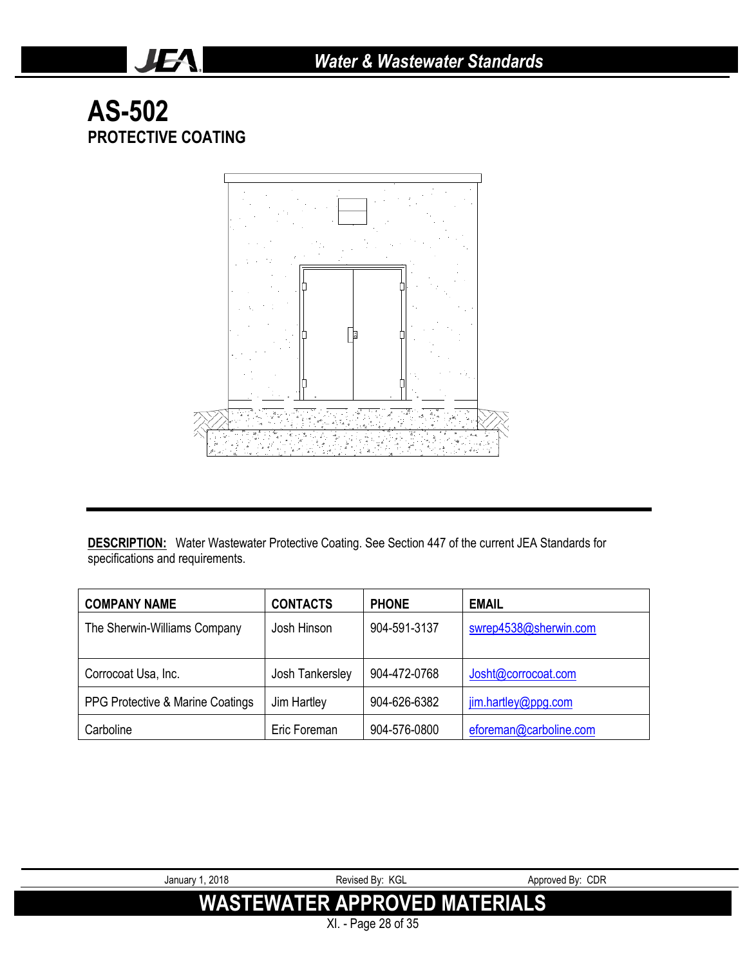## **AS-502 PROTECTIVE COATING**

JEA.



**DESCRIPTION:** Water Wastewater Protective Coating. See Section 447 of the current JEA Standards for specifications and requirements.

| <b>COMPANY NAME</b>              | <b>CONTACTS</b> | <b>PHONE</b> | <b>EMAIL</b>           |
|----------------------------------|-----------------|--------------|------------------------|
| The Sherwin-Williams Company     | Josh Hinson     | 904-591-3137 | swrep4538@sherwin.com  |
| Corrocoat Usa, Inc.              | Josh Tankersley | 904-472-0768 | Josht@corrocoat.com    |
| PPG Protective & Marine Coatings | Jim Hartley     | 904-626-6382 | jim.hartley@ppg.com    |
| Carboline                        | Eric Foreman    | 904-576-0800 | eforeman@carboline.com |

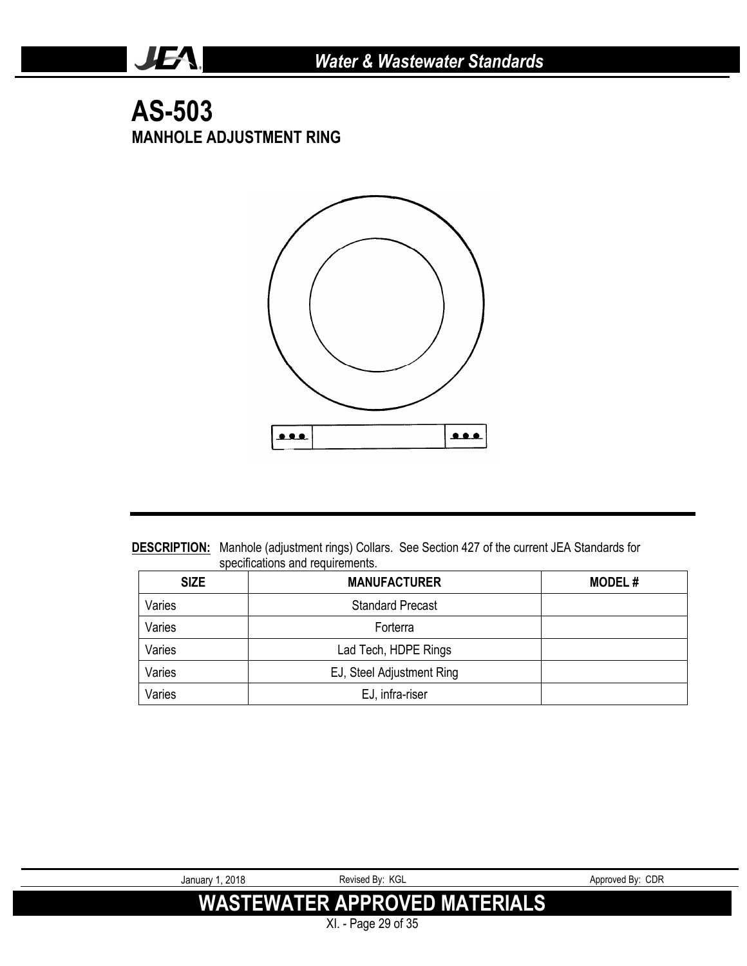### **AS-503 MANHOLE ADJUSTMENT RING**

JEA.



**DESCRIPTION:** Manhole (adjustment rings) Collars. See Section 427 of the current JEA Standards for specifications and requirements.

| <b>SIZE</b> | <b>MANUFACTURER</b>       | <b>MODEL#</b> |
|-------------|---------------------------|---------------|
| Varies      | <b>Standard Precast</b>   |               |
| Varies      | Forterra                  |               |
| Varies      | Lad Tech, HDPE Rings      |               |
| Varies      | EJ, Steel Adjustment Ring |               |
| Varies      | EJ, infra-riser           |               |

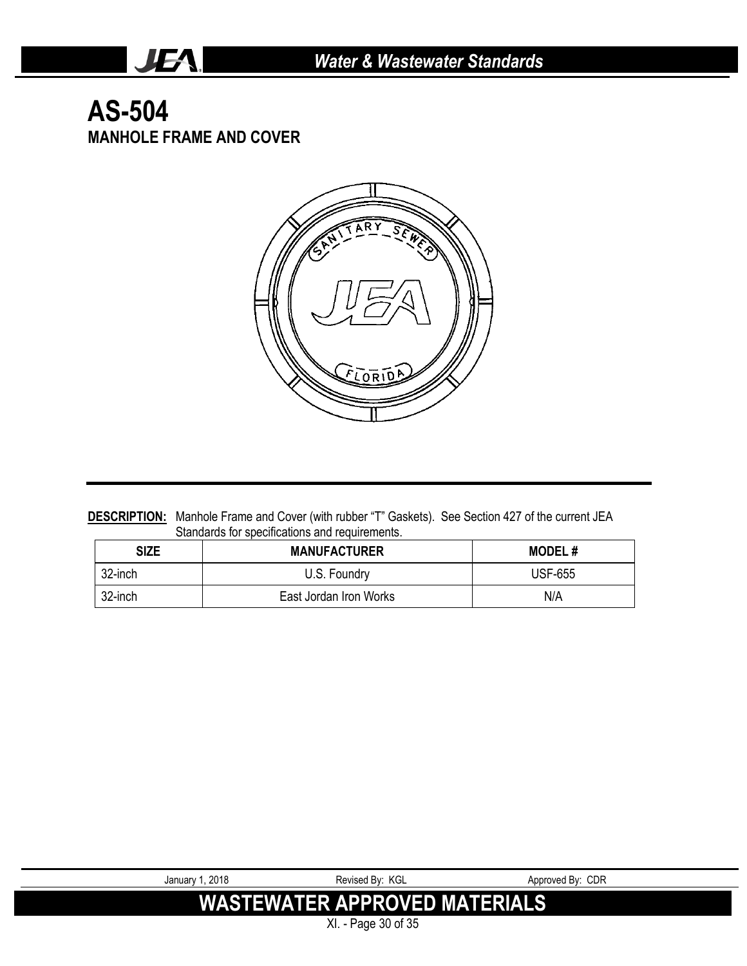### **AS-504 MANHOLE FRAME AND COVER**

JEA.



**DESCRIPTION:** Manhole Frame and Cover (with rubber "T" Gaskets). See Section 427 of the current JEA Standards for specifications and requirements.

| <b>SIZE</b> | <b>MANUFACTURER</b>    | <b>MODEL#</b>  |
|-------------|------------------------|----------------|
| 32-inch     | U.S. Foundry           | <b>USF-655</b> |
| 32-inch     | East Jordan Iron Works | N/A            |

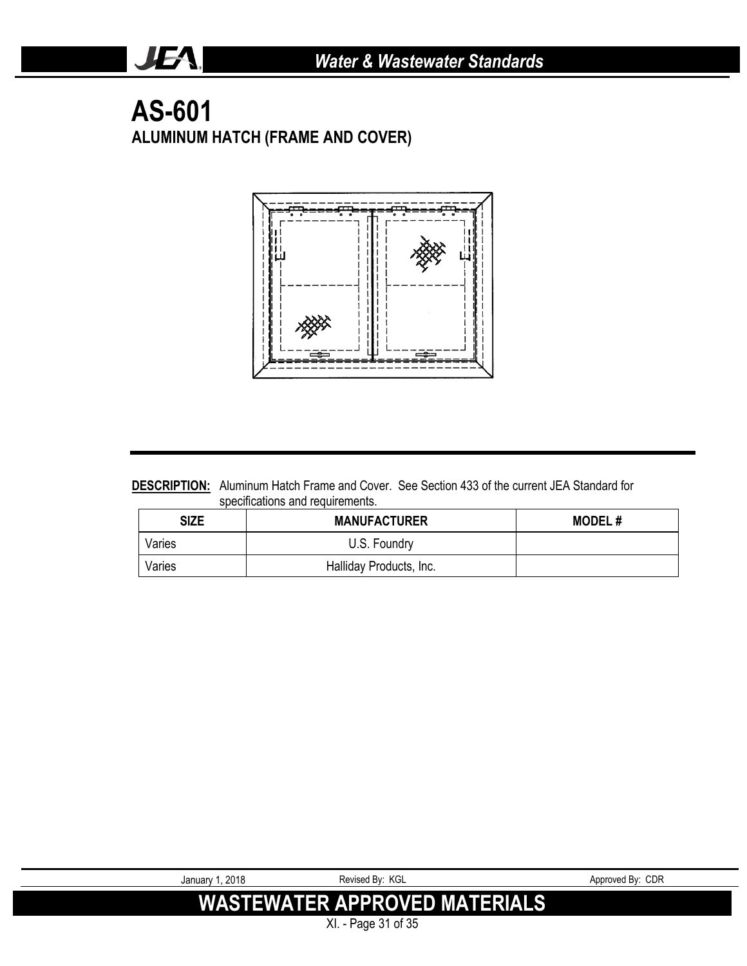### **AS-601 ALUMINUM HATCH (FRAME AND COVER)**

JEA.



**DESCRIPTION:** Aluminum Hatch Frame and Cover. See Section 433 of the current JEA Standard for specifications and requirements.

| <b>SIZE</b> | <b>MANUFACTURER</b>     | <b>MODEL#</b> |
|-------------|-------------------------|---------------|
| Varies      | U.S. Foundry            |               |
| Varies      | Halliday Products, Inc. |               |

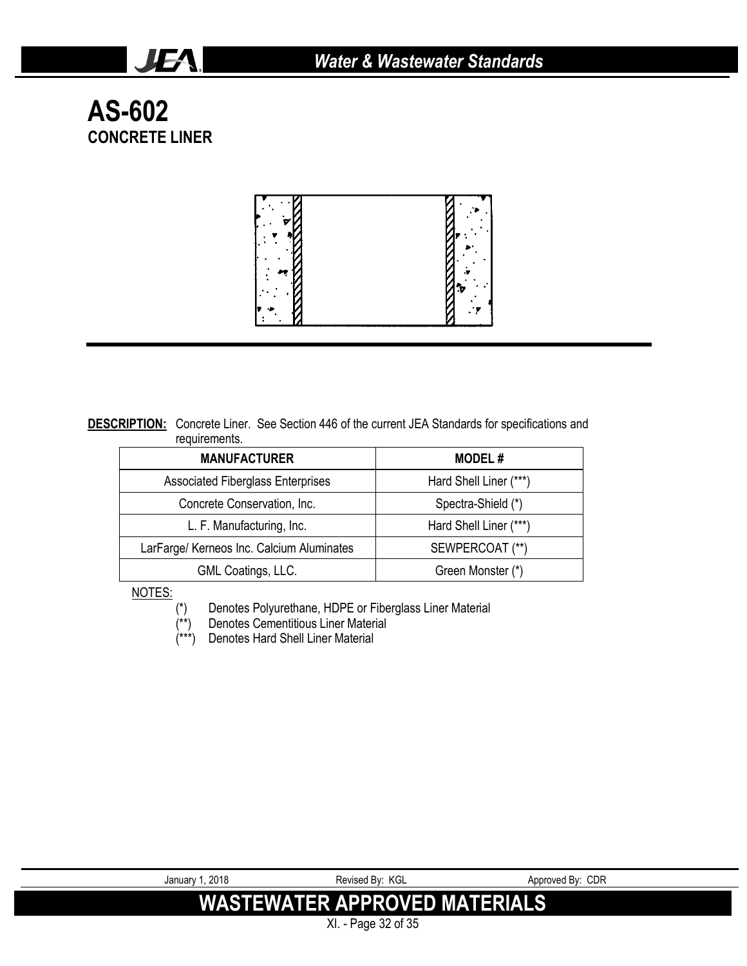**AS-602 CONCRETE LINER**

JEA.



**DESCRIPTION:** Concrete Liner. See Section 446 of the current JEA Standards for specifications and requirements.

| <b>MANUFACTURER</b>                       | <b>MODEL#</b>          |  |
|-------------------------------------------|------------------------|--|
| <b>Associated Fiberglass Enterprises</b>  | Hard Shell Liner (***) |  |
| Concrete Conservation, Inc.               | Spectra-Shield (*)     |  |
| L. F. Manufacturing, Inc.                 | Hard Shell Liner (***) |  |
| LarFarge/ Kerneos Inc. Calcium Aluminates | SEWPERCOAT (**)        |  |
| GML Coatings, LLC.                        | Green Monster (*)      |  |

NOTES:

(\*) Denotes Polyurethane, HDPE or Fiberglass Liner Material

- $(***)$  Denotes Cementitious Liner Material  $(***)$  Denotes Hard Shell Liner Material
- Denotes Hard Shell Liner Material

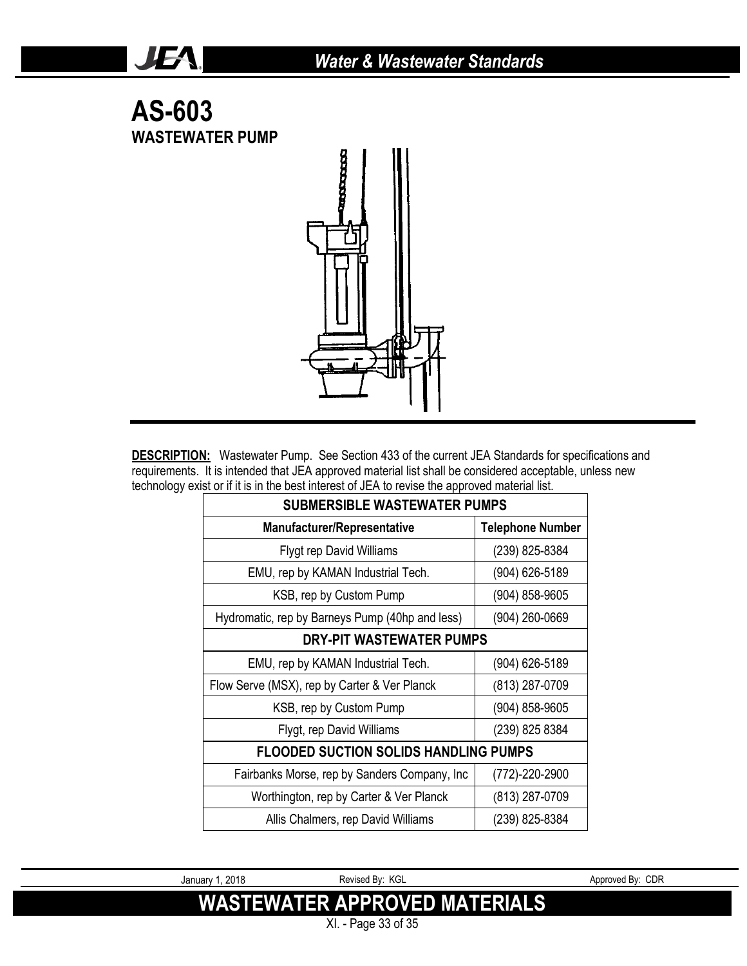

JEA.

**DESCRIPTION:** Wastewater Pump. See Section 433 of the current JEA Standards for specifications and requirements. It is intended that JEA approved material list shall be considered acceptable, unless new technology exist or if it is in the best interest of JEA to revise the approved material list.

| <b>SUBMERSIBLE WASTEWATER PUMPS</b>             |                         |  |  |
|-------------------------------------------------|-------------------------|--|--|
| Manufacturer/Representative                     | <b>Telephone Number</b> |  |  |
| <b>Flygt rep David Williams</b>                 | (239) 825-8384          |  |  |
| EMU, rep by KAMAN Industrial Tech.              | (904) 626-5189          |  |  |
| KSB, rep by Custom Pump                         | (904) 858-9605          |  |  |
| Hydromatic, rep by Barneys Pump (40hp and less) | (904) 260-0669          |  |  |
| DRY-PIT WASTEWATER PUMPS                        |                         |  |  |
| EMU, rep by KAMAN Industrial Tech.              | (904) 626-5189          |  |  |
| Flow Serve (MSX), rep by Carter & Ver Planck    | (813) 287-0709          |  |  |
| KSB, rep by Custom Pump                         | $(904) 858 - 9605$      |  |  |
| Flygt, rep David Williams                       | (239) 825 8384          |  |  |
| <b>FLOODED SUCTION SOLIDS HANDLING PUMPS</b>    |                         |  |  |
| Fairbanks Morse, rep by Sanders Company, Inc.   | (772)-220-2900          |  |  |
| Worthington, rep by Carter & Ver Planck         | (813) 287-0709          |  |  |
| Allis Chalmers, rep David Williams              | (239) 825-8384          |  |  |

January 1, 2018 **Revised By: KGL** Approved By: CDR **WASTEWATER APPROVED MATERIALS** XI. - Page 33 of 35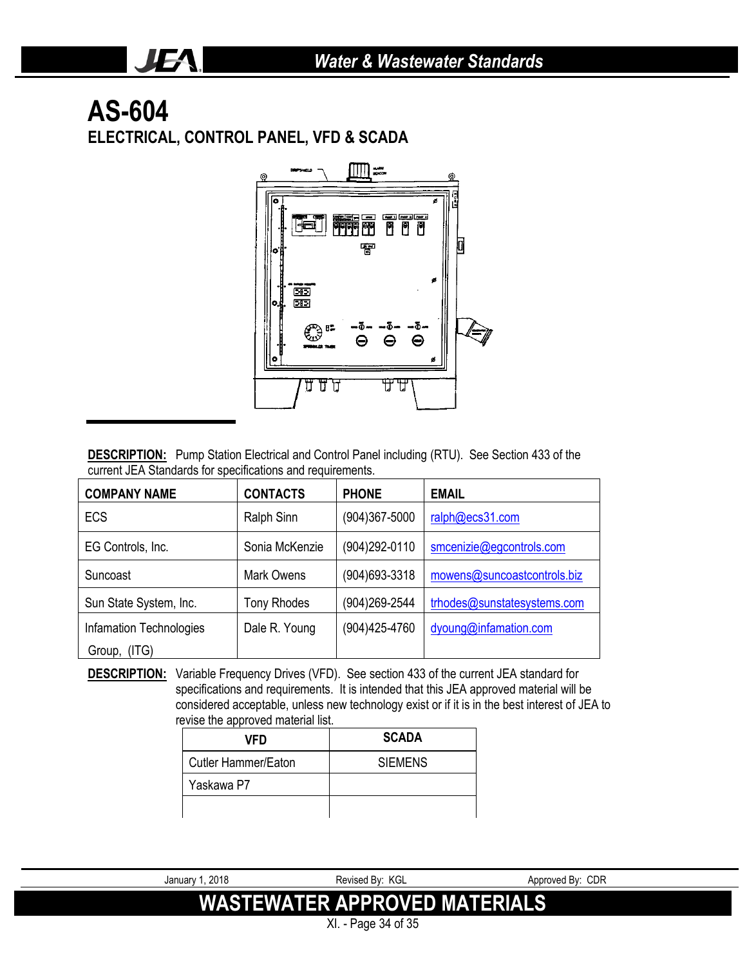# **AS-604**

JEA.

**ELECTRICAL, CONTROL PANEL, VFD & SCADA**



**DESCRIPTION:** Pump Station Electrical and Control Panel including (RTU). See Section 433 of the current JEA Standards for specifications and requirements.

| <b>COMPANY NAME</b>     | <b>CONTACTS</b>    | <b>PHONE</b>      | <b>EMAIL</b>                |  |
|-------------------------|--------------------|-------------------|-----------------------------|--|
| <b>ECS</b>              | Ralph Sinn         | $(904)367 - 5000$ | ralph@ecs31.com             |  |
| EG Controls, Inc.       | Sonia McKenzie     | (904) 292-0110    | smcenizie@egcontrols.com    |  |
| Suncoast                | Mark Owens         | (904) 693-3318    | mowens@suncoastcontrols.biz |  |
| Sun State System, Inc.  | <b>Tony Rhodes</b> | (904)269-2544     | trhodes@sunstatesystems.com |  |
| Infamation Technologies | Dale R. Young      | (904) 425-4760    | dyoung@infamation.com       |  |
| Group,<br>(ITG)         |                    |                   |                             |  |

**DESCRIPTION:** Variable Frequency Drives (VFD). See section 433 of the current JEA standard for specifications and requirements. It is intended that this JEA approved material will be considered acceptable, unless new technology exist or if it is in the best interest of JEA to revise the approved material list.

| VFD                 | <b>SCADA</b>   |
|---------------------|----------------|
| Cutler Hammer/Eaton | <b>SIEMENS</b> |
| Yaskawa P7          |                |
|                     |                |

January 1, 2018 **Proved By: Revised By: KGL** Approved By: CDR

**WASTEWATER APPROVED MATERIALS**

XI. - Page 34 of 35